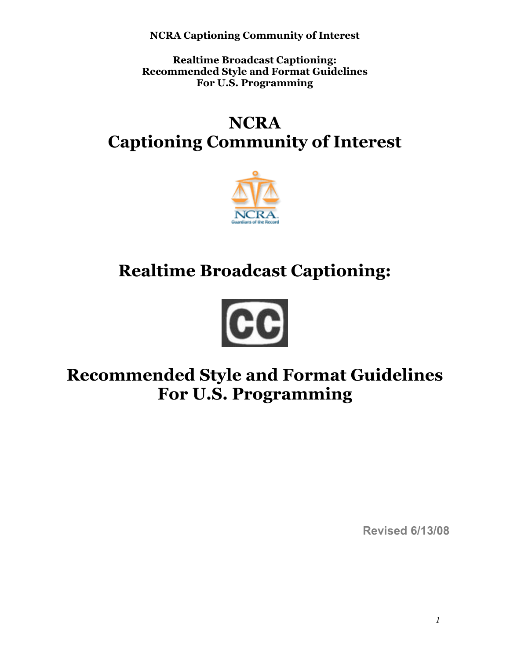**Realtime Broadcast Captioning: Recommended Style and Format Guidelines For U.S. Programming** 

# **NCRA Captioning Community of Interest**



# **Realtime Broadcast Captioning:**



# **Recommended Style and Format Guidelines For U.S. Programming**

**Revised 6/13/08**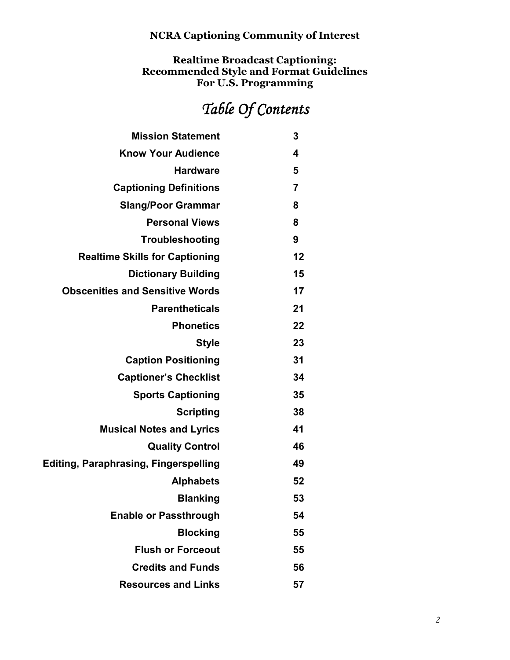**Realtime Broadcast Captioning: Recommended Style and Format Guidelines For U.S. Programming** 

# $Table$  Of Contents

| <b>Mission Statement</b>                     | 3                       |
|----------------------------------------------|-------------------------|
| <b>Know Your Audience</b>                    | $\overline{\mathbf{4}}$ |
| <b>Hardware</b>                              | 5                       |
| <b>Captioning Definitions</b>                | $\overline{7}$          |
| <b>Slang/Poor Grammar</b>                    | 8                       |
| <b>Personal Views</b>                        | 8                       |
| Troubleshooting                              | 9                       |
| <b>Realtime Skills for Captioning</b>        | 12                      |
| <b>Dictionary Building</b>                   | 15                      |
| <b>Obscenities and Sensitive Words</b>       | 17                      |
| <b>Parentheticals</b>                        | 21                      |
| <b>Phonetics</b>                             | 22                      |
| <b>Style</b>                                 | 23                      |
| <b>Caption Positioning</b>                   | 31                      |
| <b>Captioner's Checklist</b>                 | 34                      |
| <b>Sports Captioning</b>                     | 35                      |
| <b>Scripting</b>                             | 38                      |
| <b>Musical Notes and Lyrics</b>              | 41                      |
| <b>Quality Control</b>                       | 46                      |
| <b>Editing, Paraphrasing, Fingerspelling</b> | 49                      |
| <b>Alphabets</b>                             | 52                      |
| <b>Blanking</b>                              | 53                      |
| <b>Enable or Passthrough</b>                 | 54                      |
| <b>Blocking</b>                              | 55                      |
| <b>Flush or Forceout</b>                     | 55                      |
| <b>Credits and Funds</b>                     | 56                      |
| <b>Resources and Links</b>                   | 57                      |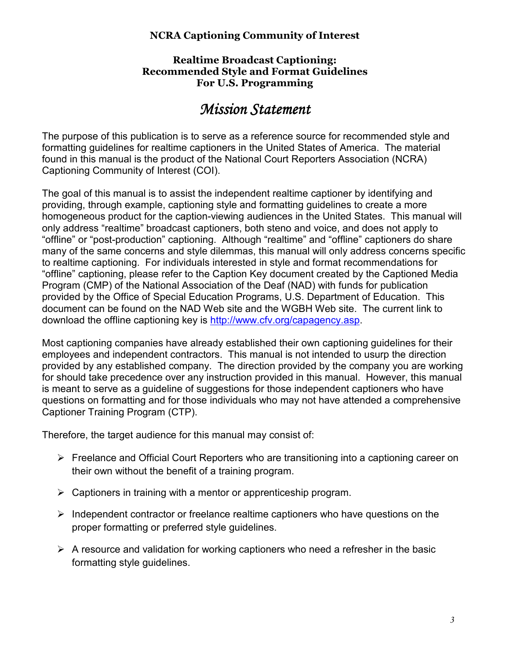#### **Realtime Broadcast Captioning: Recommended Style and Format Guidelines For U.S. Programming**

# *Mission Statement Mission Statement*

The purpose of this publication is to serve as a reference source for recommended style and formatting guidelines for realtime captioners in the United States of America. The material found in this manual is the product of the National Court Reporters Association (NCRA) Captioning Community of Interest (COI).

The goal of this manual is to assist the independent realtime captioner by identifying and providing, through example, captioning style and formatting guidelines to create a more homogeneous product for the caption-viewing audiences in the United States. This manual will only address "realtime" broadcast captioners, both steno and voice, and does not apply to "offline" or "post-production" captioning. Although "realtime" and "offline" captioners do share many of the same concerns and style dilemmas, this manual will only address concerns specific to realtime captioning. For individuals interested in style and format recommendations for "offline" captioning, please refer to the Caption Key document created by the Captioned Media Program (CMP) of the National Association of the Deaf (NAD) with funds for publication provided by the Office of Special Education Programs, U.S. Department of Education. This document can be found on the NAD Web site and the WGBH Web site. The current link to download the offline captioning key is http://www.cfv.org/capagency.asp.

Most captioning companies have already established their own captioning guidelines for their employees and independent contractors. This manual is not intended to usurp the direction provided by any established company. The direction provided by the company you are working for should take precedence over any instruction provided in this manual. However, this manual is meant to serve as a guideline of suggestions for those independent captioners who have questions on formatting and for those individuals who may not have attended a comprehensive Captioner Training Program (CTP).

Therefore, the target audience for this manual may consist of:

- $\triangleright$  Freelance and Official Court Reporters who are transitioning into a captioning career on their own without the benefit of a training program.
- $\triangleright$  Captioners in training with a mentor or apprenticeship program.
- $\triangleright$  Independent contractor or freelance realtime captioners who have questions on the proper formatting or preferred style guidelines.
- $\triangleright$  A resource and validation for working captioners who need a refresher in the basic formatting style guidelines.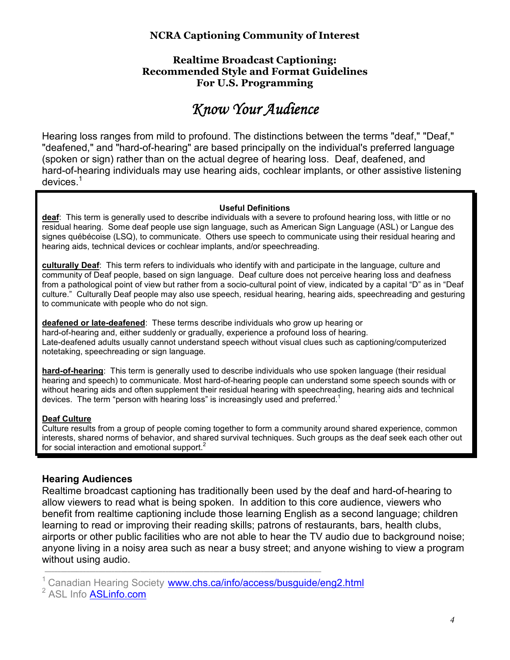#### **Realtime Broadcast Captioning: Recommended Style and Format Guidelines For U.S. Programming**

# *Know Your Audience Know Your Audience*

Hearing loss ranges from mild to profound. The distinctions between the terms "deaf," "Deaf," "deafened," and "hard-of-hearing" are based principally on the individual's preferred language (spoken or sign) rather than on the actual degree of hearing loss. Deaf, deafened, and hard-of-hearing individuals may use hearing aids, cochlear implants, or other assistive listening devices.<sup>1</sup>

#### **Useful Definitions**

**deaf**: This term is generally used to describe individuals with a severe to profound hearing loss, with little or no residual hearing. Some deaf people use sign language, such as American Sign Language (ASL) or Langue des signes québécoise (LSQ), to communicate. Others use speech to communicate using their residual hearing and hearing aids, technical devices or cochlear implants, and/or speechreading.

**culturally Deaf**: This term refers to individuals who identify with and participate in the language, culture and community of Deaf people, based on sign language. Deaf culture does not perceive hearing loss and deafness from a pathological point of view but rather from a socio-cultural point of view, indicated by a capital "D" as in "Deaf culture." Culturally Deaf people may also use speech, residual hearing, hearing aids, speechreading and gesturing to communicate with people who do not sign.

**deafened or late-deafened**: These terms describe individuals who grow up hearing or hard-of-hearing and, either suddenly or gradually, experience a profound loss of hearing. Late-deafened adults usually cannot understand speech without visual clues such as captioning/computerized notetaking, speechreading or sign language.

**hard-of-hearing**: This term is generally used to describe individuals who use spoken language (their residual hearing and speech) to communicate. Most hard-of-hearing people can understand some speech sounds with or without hearing aids and often supplement their residual hearing with speechreading, hearing aids and technical devices. The term "person with hearing loss" is increasingly used and preferred.<sup>1</sup>

#### **Deaf Culture**

Culture results from a group of people coming together to form a community around shared experience, common interests, shared norms of behavior, and shared survival techniques. Such groups as the deaf seek each other out for social interaction and emotional support.<sup>2</sup>

# **Hearing Audiences**

Realtime broadcast captioning has traditionally been used by the deaf and hard-of-hearing to allow viewers to read what is being spoken. In addition to this core audience, viewers who benefit from realtime captioning include those learning English as a second language; children learning to read or improving their reading skills; patrons of restaurants, bars, health clubs, airports or other public facilities who are not able to hear the TV audio due to background noise; anyone living in a noisy area such as near a busy street; and anyone wishing to view a program without using audio.

Canadian Hearing Society www.chs.ca/info/access/busguide/eng2.html

 $\_$  , and the set of the set of the set of the set of the set of the set of the set of the set of the set of the set of the set of the set of the set of the set of the set of the set of the set of the set of the set of th

<sup>&</sup>lt;sup>2</sup> ASL Info **ASLinfo.com**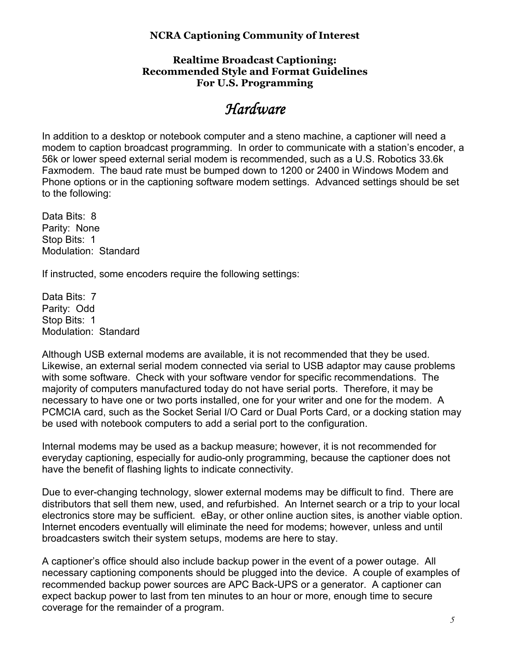#### **Realtime Broadcast Captioning: Recommended Style and Format Guidelines For U.S. Programming**

# *Hardware Hardware*

In addition to a desktop or notebook computer and a steno machine, a captioner will need a modem to caption broadcast programming. In order to communicate with a station's encoder, a 56k or lower speed external serial modem is recommended, such as a U.S. Robotics 33.6k Faxmodem. The baud rate must be bumped down to 1200 or 2400 in Windows Modem and Phone options or in the captioning software modem settings. Advanced settings should be set to the following:

Data Bits: 8 Parity: None Stop Bits: 1 Modulation: Standard

If instructed, some encoders require the following settings:

Data Bits: 7 Parity: Odd Stop Bits: 1 Modulation: Standard

Although USB external modems are available, it is not recommended that they be used. Likewise, an external serial modem connected via serial to USB adaptor may cause problems with some software. Check with your software vendor for specific recommendations. The majority of computers manufactured today do not have serial ports. Therefore, it may be necessary to have one or two ports installed, one for your writer and one for the modem. A PCMCIA card, such as the Socket Serial I/O Card or Dual Ports Card, or a docking station may be used with notebook computers to add a serial port to the configuration.

Internal modems may be used as a backup measure; however, it is not recommended for everyday captioning, especially for audio-only programming, because the captioner does not have the benefit of flashing lights to indicate connectivity.

Due to ever-changing technology, slower external modems may be difficult to find. There are distributors that sell them new, used, and refurbished. An Internet search or a trip to your local electronics store may be sufficient. eBay, or other online auction sites, is another viable option. Internet encoders eventually will eliminate the need for modems; however, unless and until broadcasters switch their system setups, modems are here to stay.

A captioner's office should also include backup power in the event of a power outage. All necessary captioning components should be plugged into the device. A couple of examples of recommended backup power sources are APC Back-UPS or a generator. A captioner can expect backup power to last from ten minutes to an hour or more, enough time to secure coverage for the remainder of a program.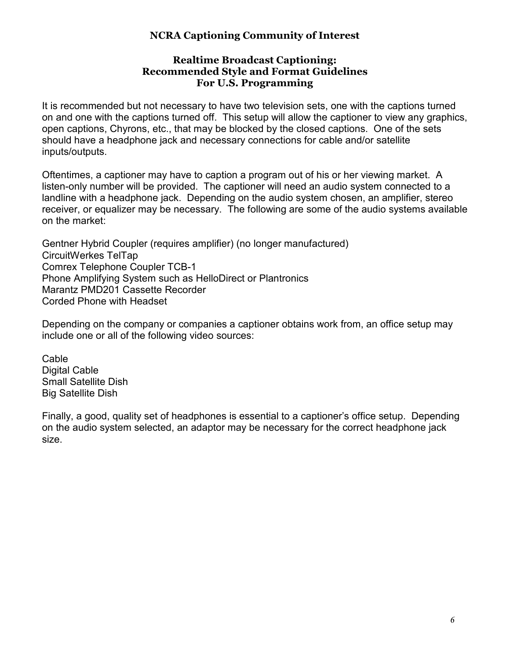#### **Realtime Broadcast Captioning: Recommended Style and Format Guidelines For U.S. Programming**

It is recommended but not necessary to have two television sets, one with the captions turned on and one with the captions turned off. This setup will allow the captioner to view any graphics, open captions, Chyrons, etc., that may be blocked by the closed captions. One of the sets should have a headphone jack and necessary connections for cable and/or satellite inputs/outputs.

Oftentimes, a captioner may have to caption a program out of his or her viewing market. A listen-only number will be provided. The captioner will need an audio system connected to a landline with a headphone jack. Depending on the audio system chosen, an amplifier, stereo receiver, or equalizer may be necessary. The following are some of the audio systems available on the market:

Gentner Hybrid Coupler (requires amplifier) (no longer manufactured) CircuitWerkes TelTap Comrex Telephone Coupler TCB-1 Phone Amplifying System such as HelloDirect or Plantronics Marantz PMD201 Cassette Recorder Corded Phone with Headset

Depending on the company or companies a captioner obtains work from, an office setup may include one or all of the following video sources:

**Cable** Digital Cable Small Satellite Dish Big Satellite Dish

Finally, a good, quality set of headphones is essential to a captioner's office setup. Depending on the audio system selected, an adaptor may be necessary for the correct headphone jack size.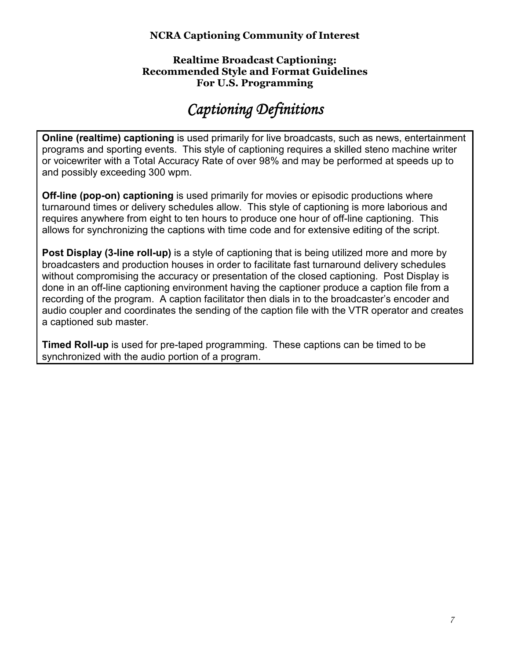#### **Realtime Broadcast Captioning: Recommended Style and Format Guidelines For U.S. Programming**

# *Captioning Definitions Captioning*

**Online (realtime) captioning** is used primarily for live broadcasts, such as news, entertainment programs and sporting events. This style of captioning requires a skilled steno machine writer or voicewriter with a Total Accuracy Rate of over 98% and may be performed at speeds up to and possibly exceeding 300 wpm.

**Off-line (pop-on) captioning** is used primarily for movies or episodic productions where turnaround times or delivery schedules allow. This style of captioning is more laborious and requires anywhere from eight to ten hours to produce one hour of off-line captioning. This allows for synchronizing the captions with time code and for extensive editing of the script.

**Post Display (3-line roll-up)** is a style of captioning that is being utilized more and more by broadcasters and production houses in order to facilitate fast turnaround delivery schedules without compromising the accuracy or presentation of the closed captioning. Post Display is done in an off-line captioning environment having the captioner produce a caption file from a recording of the program. A caption facilitator then dials in to the broadcaster's encoder and audio coupler and coordinates the sending of the caption file with the VTR operator and creates a captioned sub master.

**Timed Roll-up** is used for pre-taped programming. These captions can be timed to be synchronized with the audio portion of a program.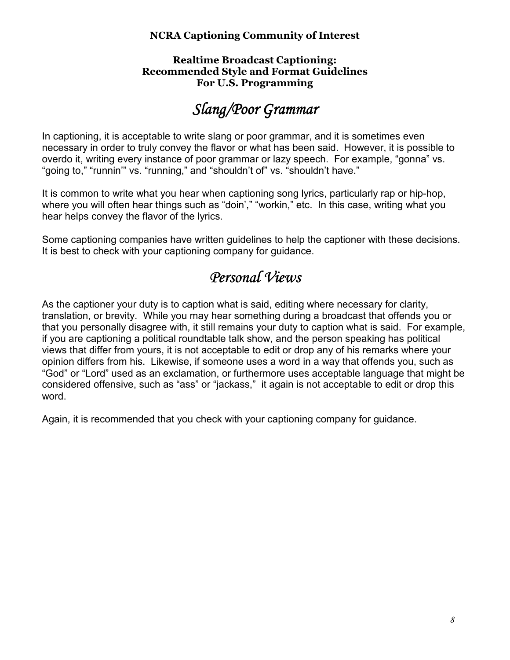#### **Realtime Broadcast Captioning: Recommended Style and Format Guidelines For U.S. Programming**

# *Slang/Poor Grammar Grammar*

In captioning, it is acceptable to write slang or poor grammar, and it is sometimes even necessary in order to truly convey the flavor or what has been said. However, it is possible to overdo it, writing every instance of poor grammar or lazy speech. For example, "gonna" vs. "going to," "runnin'" vs. "running," and "shouldn't of" vs. "shouldn't have."

It is common to write what you hear when captioning song lyrics, particularly rap or hip-hop, where you will often hear things such as "doin'," "workin," etc. In this case, writing what you hear helps convey the flavor of the lyrics.

Some captioning companies have written guidelines to help the captioner with these decisions. It is best to check with your captioning company for guidance.

# *Personal Views Personal*

As the captioner your duty is to caption what is said, editing where necessary for clarity, translation, or brevity. While you may hear something during a broadcast that offends you or that you personally disagree with, it still remains your duty to caption what is said. For example, if you are captioning a political roundtable talk show, and the person speaking has political views that differ from yours, it is not acceptable to edit or drop any of his remarks where your opinion differs from his. Likewise, if someone uses a word in a way that offends you, such as "God" or "Lord" used as an exclamation, or furthermore uses acceptable language that might be considered offensive, such as "ass" or "jackass," it again is not acceptable to edit or drop this word.

Again, it is recommended that you check with your captioning company for guidance.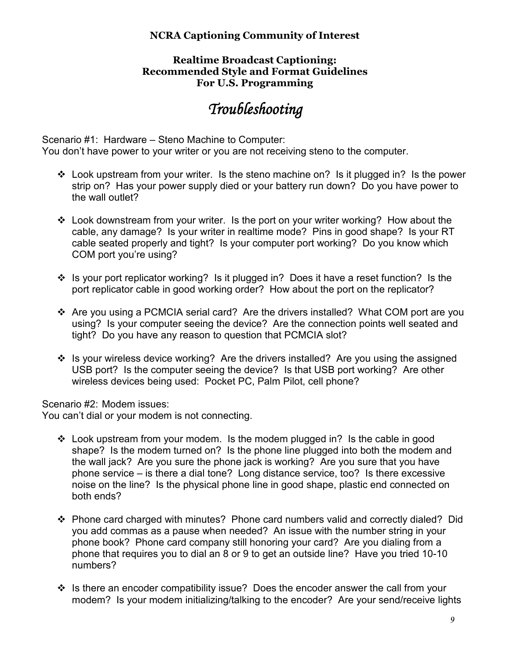#### **Realtime Broadcast Captioning: Recommended Style and Format Guidelines For U.S. Programming**

# *Troubleshooting Troubleshooting*

Scenario #1: Hardware – Steno Machine to Computer: You don't have power to your writer or you are not receiving steno to the computer.

- Look upstream from your writer. Is the steno machine on? Is it plugged in? Is the power strip on? Has your power supply died or your battery run down? Do you have power to the wall outlet?
- Look downstream from your writer. Is the port on your writer working? How about the cable, any damage? Is your writer in realtime mode? Pins in good shape? Is your RT cable seated properly and tight? Is your computer port working? Do you know which COM port you're using?
- Is your port replicator working? Is it plugged in? Does it have a reset function? Is the port replicator cable in good working order? How about the port on the replicator?
- Are you using a PCMCIA serial card? Are the drivers installed? What COM port are you using? Is your computer seeing the device? Are the connection points well seated and tight? Do you have any reason to question that PCMCIA slot?
- Is your wireless device working? Are the drivers installed? Are you using the assigned USB port? Is the computer seeing the device? Is that USB port working? Are other wireless devices being used: Pocket PC, Palm Pilot, cell phone?

Scenario #2: Modem issues:

You can't dial or your modem is not connecting.

- Look upstream from your modem. Is the modem plugged in? Is the cable in good shape? Is the modem turned on? Is the phone line plugged into both the modem and the wall jack? Are you sure the phone jack is working? Are you sure that you have phone service – is there a dial tone? Long distance service, too? Is there excessive noise on the line? Is the physical phone line in good shape, plastic end connected on both ends?
- Phone card charged with minutes? Phone card numbers valid and correctly dialed? Did you add commas as a pause when needed? An issue with the number string in your phone book? Phone card company still honoring your card? Are you dialing from a phone that requires you to dial an 8 or 9 to get an outside line? Have you tried 10-10 numbers?
- Is there an encoder compatibility issue? Does the encoder answer the call from your modem? Is your modem initializing/talking to the encoder? Are your send/receive lights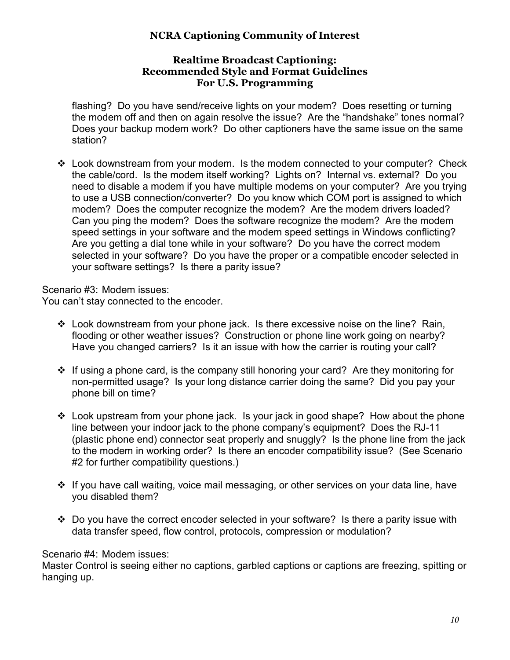#### **Realtime Broadcast Captioning: Recommended Style and Format Guidelines For U.S. Programming**

flashing? Do you have send/receive lights on your modem? Does resetting or turning the modem off and then on again resolve the issue? Are the "handshake" tones normal? Does your backup modem work? Do other captioners have the same issue on the same station?

- Look downstream from your modem. Is the modem connected to your computer? Check the cable/cord. Is the modem itself working? Lights on? Internal vs. external? Do you need to disable a modem if you have multiple modems on your computer? Are you trying to use a USB connection/converter? Do you know which COM port is assigned to which modem? Does the computer recognize the modem? Are the modem drivers loaded? Can you ping the modem? Does the software recognize the modem? Are the modem speed settings in your software and the modem speed settings in Windows conflicting? Are you getting a dial tone while in your software? Do you have the correct modem selected in your software? Do you have the proper or a compatible encoder selected in your software settings? Is there a parity issue?

Scenario #3: Modem issues:

You can't stay connected to the encoder.

- Look downstream from your phone jack. Is there excessive noise on the line? Rain, flooding or other weather issues? Construction or phone line work going on nearby? Have you changed carriers? Is it an issue with how the carrier is routing your call?
- If using a phone card, is the company still honoring your card? Are they monitoring for non-permitted usage? Is your long distance carrier doing the same? Did you pay your phone bill on time?
- Look upstream from your phone jack. Is your jack in good shape? How about the phone line between your indoor jack to the phone company's equipment? Does the RJ-11 (plastic phone end) connector seat properly and snuggly? Is the phone line from the jack to the modem in working order? Is there an encoder compatibility issue? (See Scenario #2 for further compatibility questions.)
- If you have call waiting, voice mail messaging, or other services on your data line, have you disabled them?
- Do you have the correct encoder selected in your software? Is there a parity issue with data transfer speed, flow control, protocols, compression or modulation?

# Scenario #4: Modem issues:

Master Control is seeing either no captions, garbled captions or captions are freezing, spitting or hanging up.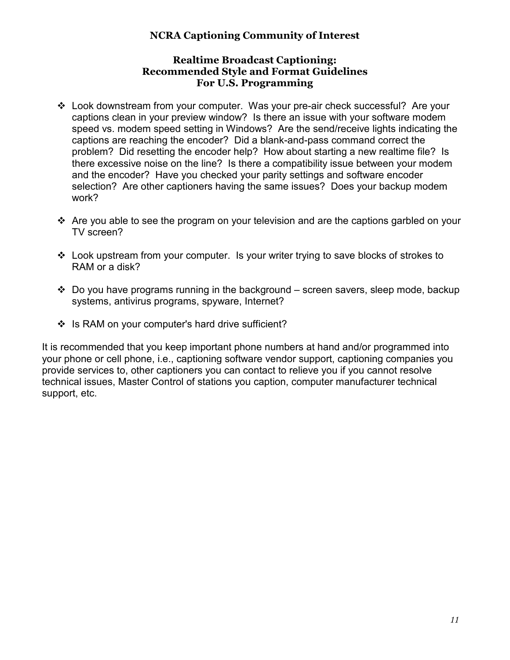#### **Realtime Broadcast Captioning: Recommended Style and Format Guidelines For U.S. Programming**

- Look downstream from your computer. Was your pre-air check successful? Are your captions clean in your preview window? Is there an issue with your software modem speed vs. modem speed setting in Windows? Are the send/receive lights indicating the captions are reaching the encoder? Did a blank-and-pass command correct the problem? Did resetting the encoder help? How about starting a new realtime file? Is there excessive noise on the line? Is there a compatibility issue between your modem and the encoder? Have you checked your parity settings and software encoder selection? Are other captioners having the same issues? Does your backup modem work?
- \* Are you able to see the program on your television and are the captions garbled on your TV screen?
- Look upstream from your computer. Is your writer trying to save blocks of strokes to RAM or a disk?
- Do you have programs running in the background screen savers, sleep mode, backup systems, antivirus programs, spyware, Internet?
- \* Is RAM on your computer's hard drive sufficient?

It is recommended that you keep important phone numbers at hand and/or programmed into your phone or cell phone, i.e., captioning software vendor support, captioning companies you provide services to, other captioners you can contact to relieve you if you cannot resolve technical issues, Master Control of stations you caption, computer manufacturer technical support, etc.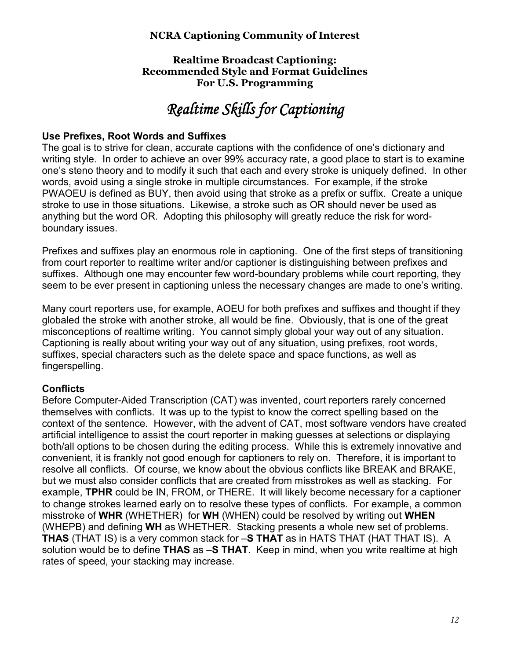#### **Realtime Broadcast Captioning: Recommended Style and Format Guidelines For U.S. Programming**

# *Realtime Skills for Captioning*

#### **Use Prefixes, Root Words and Suffixes**

The goal is to strive for clean, accurate captions with the confidence of one's dictionary and writing style. In order to achieve an over 99% accuracy rate, a good place to start is to examine one's steno theory and to modify it such that each and every stroke is uniquely defined. In other words, avoid using a single stroke in multiple circumstances. For example, if the stroke PWAOEU is defined as BUY, then avoid using that stroke as a prefix or suffix. Create a unique stroke to use in those situations. Likewise, a stroke such as OR should never be used as anything but the word OR. Adopting this philosophy will greatly reduce the risk for wordboundary issues.

Prefixes and suffixes play an enormous role in captioning. One of the first steps of transitioning from court reporter to realtime writer and/or captioner is distinguishing between prefixes and suffixes. Although one may encounter few word-boundary problems while court reporting, they seem to be ever present in captioning unless the necessary changes are made to one's writing.

Many court reporters use, for example, AOEU for both prefixes and suffixes and thought if they globaled the stroke with another stroke, all would be fine. Obviously, that is one of the great misconceptions of realtime writing. You cannot simply global your way out of any situation. Captioning is really about writing your way out of any situation, using prefixes, root words, suffixes, special characters such as the delete space and space functions, as well as fingerspelling.

# **Conflicts**

Before Computer-Aided Transcription (CAT) was invented, court reporters rarely concerned themselves with conflicts. It was up to the typist to know the correct spelling based on the context of the sentence. However, with the advent of CAT, most software vendors have created artificial intelligence to assist the court reporter in making guesses at selections or displaying both/all options to be chosen during the editing process. While this is extremely innovative and convenient, it is frankly not good enough for captioners to rely on. Therefore, it is important to resolve all conflicts. Of course, we know about the obvious conflicts like BREAK and BRAKE, but we must also consider conflicts that are created from misstrokes as well as stacking. For example, **TPHR** could be IN, FROM, or THERE. It will likely become necessary for a captioner to change strokes learned early on to resolve these types of conflicts. For example, a common misstroke of **WHR** (WHETHER) for **WH** (WHEN) could be resolved by writing out **WHEN** (WHEPB) and defining **WH** as WHETHER. Stacking presents a whole new set of problems. **THAS** (THAT IS) is a very common stack for –**S THAT** as in HATS THAT (HAT THAT IS). A solution would be to define **THAS** as –**S THAT**. Keep in mind, when you write realtime at high rates of speed, your stacking may increase.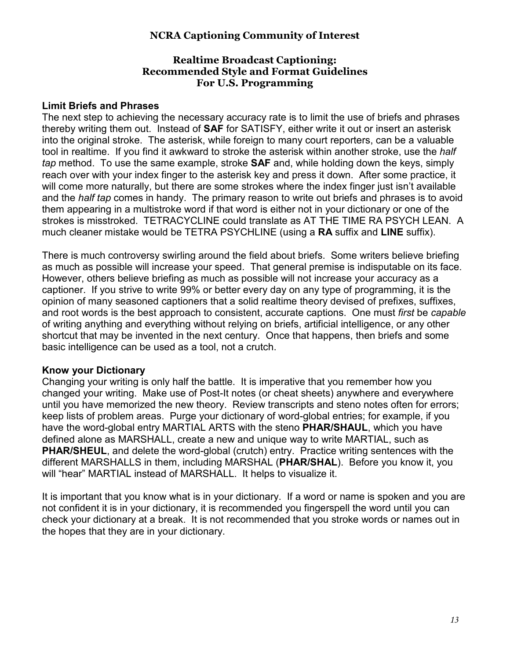#### **Realtime Broadcast Captioning: Recommended Style and Format Guidelines For U.S. Programming**

#### **Limit Briefs and Phrases**

The next step to achieving the necessary accuracy rate is to limit the use of briefs and phrases thereby writing them out. Instead of **SAF** for SATISFY, either write it out or insert an asterisk into the original stroke. The asterisk, while foreign to many court reporters, can be a valuable tool in realtime. If you find it awkward to stroke the asterisk within another stroke, use the *half tap* method. To use the same example, stroke **SAF** and, while holding down the keys, simply reach over with your index finger to the asterisk key and press it down. After some practice, it will come more naturally, but there are some strokes where the index finger just isn't available and the *half tap* comes in handy. The primary reason to write out briefs and phrases is to avoid them appearing in a multistroke word if that word is either not in your dictionary or one of the strokes is misstroked. TETRACYCLINE could translate as AT THE TIME RA PSYCH LEAN. A much cleaner mistake would be TETRA PSYCHLINE (using a **RA** suffix and **LINE** suffix).

There is much controversy swirling around the field about briefs. Some writers believe briefing as much as possible will increase your speed. That general premise is indisputable on its face. However, others believe briefing as much as possible will not increase your accuracy as a captioner. If you strive to write 99% or better every day on any type of programming, it is the opinion of many seasoned captioners that a solid realtime theory devised of prefixes, suffixes, and root words is the best approach to consistent, accurate captions. One must *first* be *capable* of writing anything and everything without relying on briefs, artificial intelligence, or any other shortcut that may be invented in the next century. Once that happens, then briefs and some basic intelligence can be used as a tool, not a crutch.

#### **Know your Dictionary**

Changing your writing is only half the battle. It is imperative that you remember how you changed your writing. Make use of Post-It notes (or cheat sheets) anywhere and everywhere until you have memorized the new theory. Review transcripts and steno notes often for errors; keep lists of problem areas. Purge your dictionary of word-global entries; for example, if you have the word-global entry MARTIAL ARTS with the steno **PHAR/SHAUL**, which you have defined alone as MARSHALL, create a new and unique way to write MARTIAL, such as **PHAR/SHEUL, and delete the word-global (crutch) entry. Practice writing sentences with the** different MARSHALLS in them, including MARSHAL (**PHAR/SHAL**). Before you know it, you will "hear" MARTIAL instead of MARSHALL. It helps to visualize it.

It is important that you know what is in your dictionary. If a word or name is spoken and you are not confident it is in your dictionary, it is recommended you fingerspell the word until you can check your dictionary at a break. It is not recommended that you stroke words or names out in the hopes that they are in your dictionary.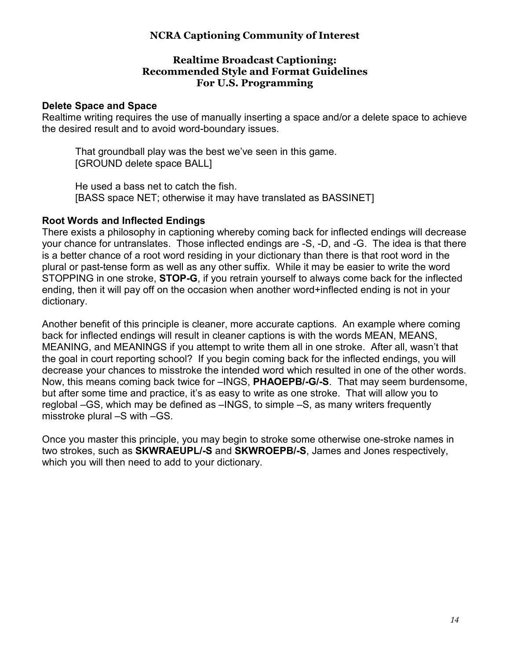#### **Realtime Broadcast Captioning: Recommended Style and Format Guidelines For U.S. Programming**

#### **Delete Space and Space**

Realtime writing requires the use of manually inserting a space and/or a delete space to achieve the desired result and to avoid word-boundary issues.

 That groundball play was the best we've seen in this game. [GROUND delete space BALL]

 He used a bass net to catch the fish. [BASS space NET; otherwise it may have translated as BASSINET]

#### **Root Words and Inflected Endings**

There exists a philosophy in captioning whereby coming back for inflected endings will decrease your chance for untranslates. Those inflected endings are -S, -D, and -G. The idea is that there is a better chance of a root word residing in your dictionary than there is that root word in the plural or past-tense form as well as any other suffix. While it may be easier to write the word STOPPING in one stroke, **STOP-G**, if you retrain yourself to always come back for the inflected ending, then it will pay off on the occasion when another word+inflected ending is not in your dictionary.

Another benefit of this principle is cleaner, more accurate captions. An example where coming back for inflected endings will result in cleaner captions is with the words MEAN, MEANS, MEANING, and MEANINGS if you attempt to write them all in one stroke. After all, wasn't that the goal in court reporting school? If you begin coming back for the inflected endings, you will decrease your chances to misstroke the intended word which resulted in one of the other words. Now, this means coming back twice for –INGS, **PHAOEPB/-G/-S**. That may seem burdensome, but after some time and practice, it's as easy to write as one stroke. That will allow you to reglobal –GS, which may be defined as –INGS, to simple –S, as many writers frequently misstroke plural –S with –GS.

Once you master this principle, you may begin to stroke some otherwise one-stroke names in two strokes, such as **SKWRAEUPL/-S** and **SKWROEPB/-S**, James and Jones respectively, which you will then need to add to your dictionary.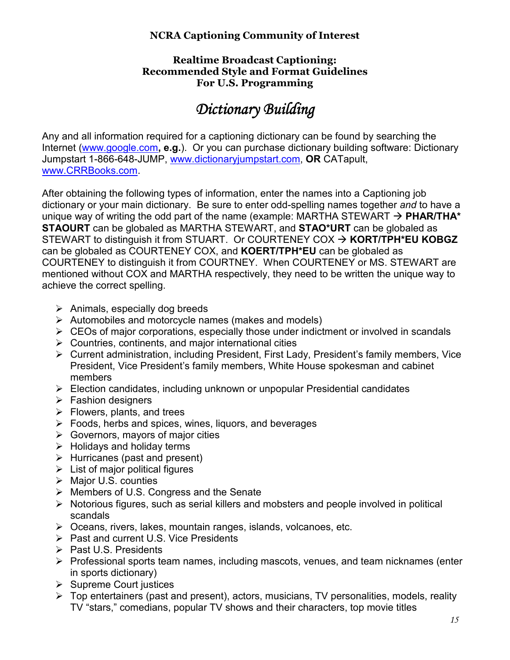#### **Realtime Broadcast Captioning: Recommended Style and Format Guidelines For U.S. Programming**

# *Dictionary Building*

Any and all information required for a captioning dictionary can be found by searching the Internet (www.google.com**, e.g.**). Or you can purchase dictionary building software: Dictionary Jumpstart 1-866-648-JUMP, www.dictionaryjumpstart.com, **OR** CATapult, www.CRRBooks.com.

After obtaining the following types of information, enter the names into a Captioning job dictionary or your main dictionary. Be sure to enter odd-spelling names together *and* to have a unique way of writing the odd part of the name (example: MARTHA STEWART  $\rightarrow$  **PHAR/THA**\* **STAOURT** can be globaled as MARTHA STEWART, and **STAO\*URT** can be globaled as STEWART to distinguish it from STUART. Or COURTENEY COX  $\rightarrow$  **KORT/TPH\*EU KOBGZ** can be globaled as COURTENEY COX, and **KOERT/TPH\*EU** can be globaled as COURTENEY to distinguish it from COURTNEY. When COURTENEY or MS. STEWART are mentioned without COX and MARTHA respectively, they need to be written the unique way to achieve the correct spelling.

- $\triangleright$  Animals, especially dog breeds
- $\triangleright$  Automobiles and motorcycle names (makes and models)
- $\triangleright$  CEOs of major corporations, especially those under indictment or involved in scandals
- $\triangleright$  Countries, continents, and major international cities
- Current administration, including President, First Lady, President's family members, Vice President, Vice President's family members, White House spokesman and cabinet members
- $\triangleright$  Election candidates, including unknown or unpopular Presidential candidates
- $\triangleright$  Fashion designers
- $\triangleright$  Flowers, plants, and trees
- $\triangleright$  Foods, herbs and spices, wines, liquors, and beverages
- $\triangleright$  Governors, mayors of major cities
- $\triangleright$  Holidays and holiday terms
- $\triangleright$  Hurricanes (past and present)
- $\triangleright$  List of major political figures
- $\triangleright$  Major U.S. counties
- Members of U.S. Congress and the Senate
- $\triangleright$  Notorious figures, such as serial killers and mobsters and people involved in political scandals
- $\triangleright$  Oceans, rivers, lakes, mountain ranges, islands, volcanoes, etc.
- $\triangleright$  Past and current U.S. Vice Presidents
- $\triangleright$  Past U.S. Presidents
- $\triangleright$  Professional sports team names, including mascots, venues, and team nicknames (enter in sports dictionary)
- $\triangleright$  Supreme Court justices
- $\triangleright$  Top entertainers (past and present), actors, musicians, TV personalities, models, reality TV "stars," comedians, popular TV shows and their characters, top movie titles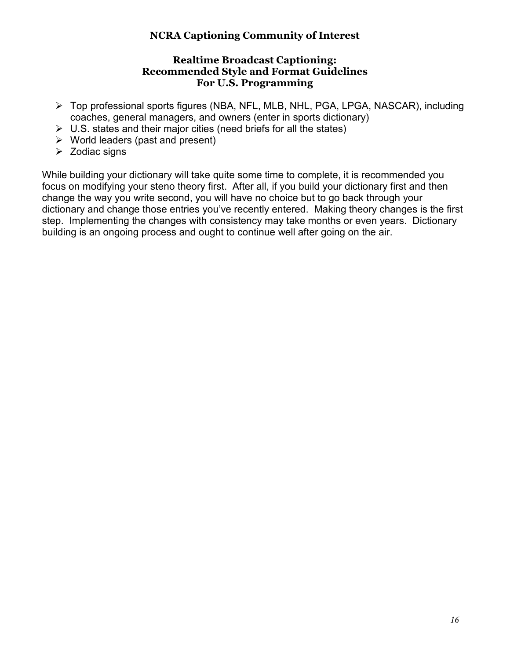#### **Realtime Broadcast Captioning: Recommended Style and Format Guidelines For U.S. Programming**

- Top professional sports figures (NBA, NFL, MLB, NHL, PGA, LPGA, NASCAR), including coaches, general managers, and owners (enter in sports dictionary)
- $\triangleright$  U.S. states and their major cities (need briefs for all the states)
- $\triangleright$  World leaders (past and present)
- $\triangleright$  Zodiac signs

While building your dictionary will take quite some time to complete, it is recommended you focus on modifying your steno theory first. After all, if you build your dictionary first and then change the way you write second, you will have no choice but to go back through your dictionary and change those entries you've recently entered. Making theory changes is the first step. Implementing the changes with consistency may take months or even years. Dictionary building is an ongoing process and ought to continue well after going on the air.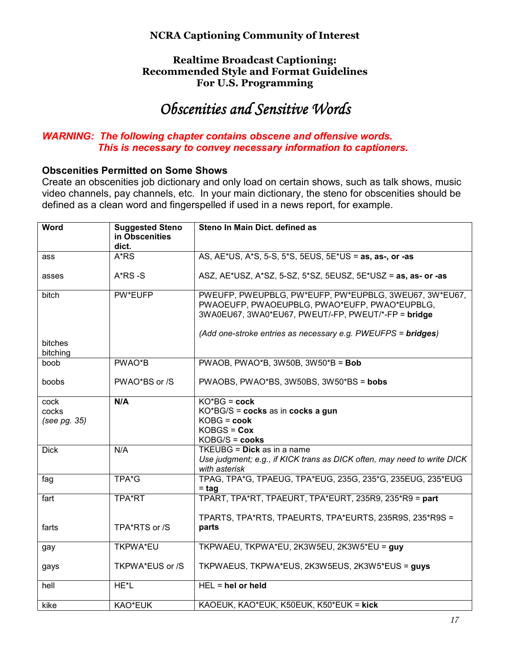#### **Realtime Broadcast Captioning: Recommended Style and Format Guidelines For U.S. Programming**

# **Obscenities and Sensitive Words**

# *WARNING: The following chapter contains obscene and offensive words. This is necessary to convey necessary information to captioners.*

#### **Obscenities Permitted on Some Shows**

Create an obscenities job dictionary and only load on certain shows, such as talk shows, music video channels, pay channels, etc. In your main dictionary, the steno for obscenities should be defined as a clean word and fingerspelled if used in a news report, for example.

| <b>Word</b>         | <b>Suggested Steno</b><br>in Obscenities<br>dict. | Steno In Main Dict. defined as                                                                                                                                 |
|---------------------|---------------------------------------------------|----------------------------------------------------------------------------------------------------------------------------------------------------------------|
| ass                 | A*RS                                              | AS, AE*US, A*S, 5-S, 5*S, 5EUS, 5E*US = as, as-, or -as                                                                                                        |
|                     |                                                   |                                                                                                                                                                |
| asses               | $A*RS-S$                                          | ASZ, AE*USZ, A*SZ, 5-SZ, 5*SZ, 5EUSZ, 5E*USZ = as, as- or -as                                                                                                  |
| bitch               | PW*EUFP                                           | PWEUFP, PWEUPBLG, PW*EUFP, PW*EUPBLG, 3WEU67, 3W*EU67,<br>PWAOEUFP, PWAOEUPBLG, PWAO*EUFP, PWAO*EUPBLG,<br>3WA0EU67, 3WA0*EU67, PWEUT/-FP, PWEUT/*-FP = bridge |
|                     |                                                   | (Add one-stroke entries as necessary e.g. PWEUFPS = bridges)                                                                                                   |
| bitches<br>bitching |                                                   |                                                                                                                                                                |
| boob                | PWAO*B                                            | PWAOB, PWAO*B, 3W50B, $3W50*B = Bob$                                                                                                                           |
| boobs               | PWAO*BS or /S                                     | PWAOBS, PWAO*BS, 3W50BS, 3W50*BS = bobs                                                                                                                        |
| cock                | N/A                                               | $KO*BG = cock$                                                                                                                                                 |
| cocks               |                                                   | KO*BG/S = cocks as in cocks a gun                                                                                                                              |
| (see pg. 35)        |                                                   | $KOBG = \text{cook}$<br>$KOBGS = \text{Cox}$                                                                                                                   |
|                     |                                                   | $KOBG/S = \textbf{cooks}$                                                                                                                                      |
| <b>Dick</b>         | N/A                                               | TKEUBG = Dick as in a name                                                                                                                                     |
|                     |                                                   | Use judgment; e.g., if KICK trans as DICK often, may need to write DICK<br>with asterisk                                                                       |
| fag                 | TPA*G                                             | TPAG, TPA*G, TPAEUG, TPA*EUG, 235G, 235*G, 235EUG, 235*EUG<br>= tag                                                                                            |
| fart                | TPA*RT                                            | TPART, TPA*RT, TPAEURT, TPA*EURT, 235R9, 235*R9 = part                                                                                                         |
|                     |                                                   | TPARTS, TPA*RTS, TPAEURTS, TPA*EURTS, 235R9S, 235*R9S =                                                                                                        |
| farts               | TPA*RTS or /S                                     | parts                                                                                                                                                          |
| gay                 | <b>TKPWA*EU</b>                                   | TKPWAEU, TKPWA*EU, 2K3W5EU, 2K3W5*EU = guy                                                                                                                     |
| gays                | TKPWA*EUS or /S                                   | TKPWAEUS, TKPWA*EUS, 2K3W5EUS, 2K3W5*EUS = guys                                                                                                                |
| hell                | HE*L                                              | $HEL = hel$ or held                                                                                                                                            |
| kike                | KAO*EUK                                           | KAOEUK, KAO*EUK, K50EUK, K50*EUK = kick                                                                                                                        |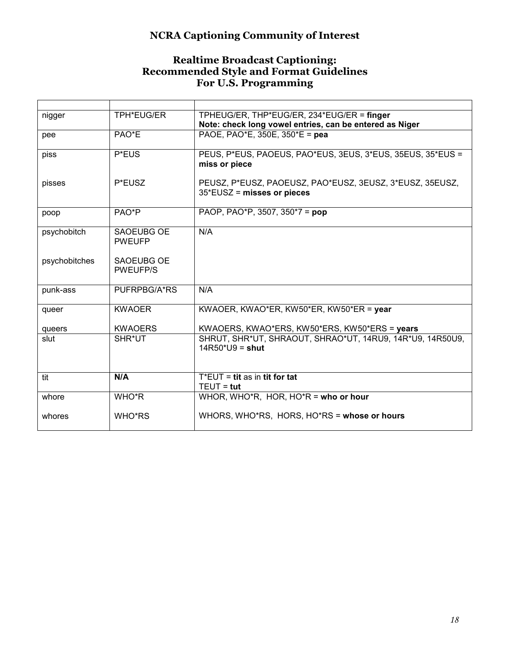#### **Realtime Broadcast Captioning: Recommended Style and Format Guidelines For U.S. Programming**

| nigger        | TPH*EUG/ER                    | TPHEUG/ER, THP*EUG/ER, 234*EUG/ER = finger<br>Note: check long vowel entries, can be entered as Niger |
|---------------|-------------------------------|-------------------------------------------------------------------------------------------------------|
| pee           | PAO*E                         | PAOE, PAO*E, 350E, 350*E = pea                                                                        |
| piss          | P*EUS                         | PEUS, P*EUS, PAOEUS, PAO*EUS, 3EUS, 3*EUS, 35EUS, 35*EUS =<br>miss or piece                           |
| pisses        | P*EUSZ                        | PEUSZ, P*EUSZ, PAOEUSZ, PAO*EUSZ, 3EUSZ, 3*EUSZ, 35EUSZ,<br>$35*$ EUSZ = misses or pieces             |
| poop          | PAO*P                         | PAOP, PAO*P, 3507, 350*7 = pop                                                                        |
| psychobitch   | SAOEUBG OE<br><b>PWEUFP</b>   | N/A                                                                                                   |
| psychobitches | SAOEUBG OF<br><b>PWEUFP/S</b> |                                                                                                       |
| punk-ass      | PUFRPBG/A*RS                  | N/A                                                                                                   |
| queer         | <b>KWAOER</b>                 | KWAOER, KWAO*ER, KW50*ER, KW50*ER = year                                                              |
| queers        | <b>KWAOERS</b>                | KWAOERS, KWAO*ERS, KW50*ERS, KW50*ERS = years                                                         |
| slut          | SHR*UT                        | SHRUT, SHR*UT, SHRAOUT, SHRAO*UT, 14RU9, 14R*U9, 14R50U9,<br>$14R50^*U9 =$ shut                       |
| tit           | N/A                           | $T^*EUT = \textbf{tit}$ as in tit for tat<br>$TEUT = tut$                                             |
| whore         | WHO*R                         | WHOR, WHO*R, HOR, HO*R = who or hour                                                                  |
| whores        | WHO*RS                        | WHORS, WHO*RS, HORS, HO*RS = whose or hours                                                           |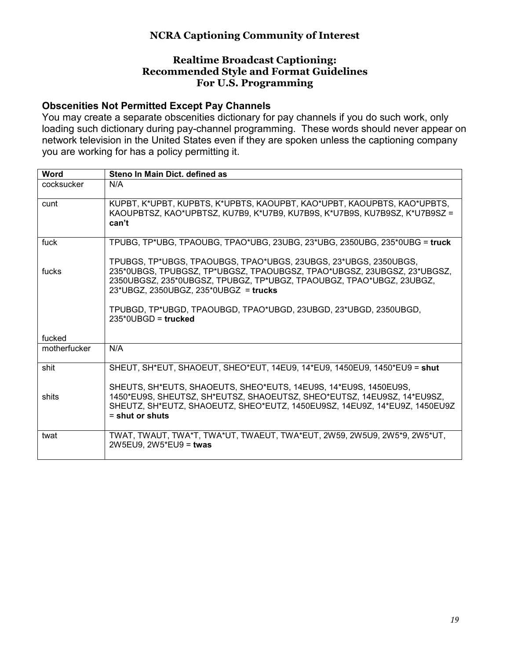#### **Realtime Broadcast Captioning: Recommended Style and Format Guidelines For U.S. Programming**

## **Obscenities Not Permitted Except Pay Channels**

You may create a separate obscenities dictionary for pay channels if you do such work, only loading such dictionary during pay-channel programming. These words should never appear on network television in the United States even if they are spoken unless the captioning company you are working for has a policy permitting it.

| <b>Word</b>  | Steno In Main Dict. defined as                                                                                                                                                                                                                               |
|--------------|--------------------------------------------------------------------------------------------------------------------------------------------------------------------------------------------------------------------------------------------------------------|
| cocksucker   | N/A                                                                                                                                                                                                                                                          |
| cunt         | KUPBT, K*UPBT, KUPBTS, K*UPBTS, KAOUPBT, KAO*UPBT, KAOUPBTS, KAO*UPBTS,<br>KAOUPBTSZ, KAO*UPBTSZ, KU7B9, K*U7B9, KU7B9S, K*U7B9S, KU7B9SZ, K*U7B9SZ =<br>can't                                                                                               |
| fuck         | TPUBG, TP*UBG, TPAOUBG, TPAO*UBG, 23UBG, 23*UBG, 2350UBG, 235*0UBG = truck                                                                                                                                                                                   |
| fucks        | TPUBGS, TP*UBGS, TPAOUBGS, TPAO*UBGS, 23UBGS, 23*UBGS, 2350UBGS,<br>235*0UBGS, TPUBGSZ, TP*UBGSZ, TPAOUBGSZ, TPAO*UBGSZ, 23UBGSZ, 23*UBGSZ,<br>2350UBGSZ, 235*0UBGSZ, TPUBGZ, TP*UBGZ, TPAOUBGZ, TPAO*UBGZ, 23UBGZ,<br>23*UBGZ, 2350UBGZ, 235*0UBGZ = trucks |
|              | TPUBGD, TP*UBGD, TPAOUBGD, TPAO*UBGD, 23UBGD, 23*UBGD, 2350UBGD,<br>$235*0UBGD = true$                                                                                                                                                                       |
| fucked       |                                                                                                                                                                                                                                                              |
| motherfucker | N/A                                                                                                                                                                                                                                                          |
| shit         | SHEUT, SH*EUT, SHAOEUT, SHEO*EUT, 14EU9, 14*EU9, 1450EU9, 1450*EU9 = shut                                                                                                                                                                                    |
| shits        | SHEUTS, SH*EUTS, SHAOEUTS, SHEO*EUTS, 14EU9S, 14*EU9S, 1450EU9S,<br>1450*EU9S, SHEUTSZ, SH*EUTSZ, SHAOEUTSZ, SHEO*EUTSZ, 14EU9SZ, 14*EU9SZ,<br>SHEUTZ, SH*EUTZ, SHAOEUTZ, SHEO*EUTZ, 1450EU9SZ, 14EU9Z, 14*EU9Z, 1450EU9Z<br>$=$ shut or shuts               |
| twat         | TWAT, TWAUT, TWA*T, TWA*UT, TWAEUT, TWA*EUT, 2W59, 2W5U9, 2W5*9, 2W5*UT,<br>2W5EU9, 2W5*EU9 = twas                                                                                                                                                           |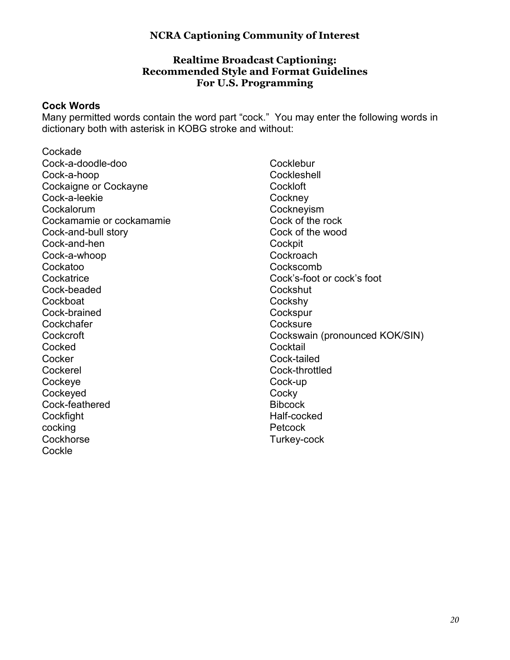#### **Realtime Broadcast Captioning: Recommended Style and Format Guidelines For U.S. Programming**

#### **Cock Words**

Many permitted words contain the word part "cock." You may enter the following words in dictionary both with asterisk in KOBG stroke and without:

Cockade Cock-a-doodle-doo Cock-a-hoop Cockaigne or Cockayne Cock-a-leekie Cockalorum Cockamamie or cockamamie Cock-and-bull story Cock-and-hen Cock-a-whoop Cockatoo **Cockatrice** Cock-beaded **Cockboat** Cock-brained **Cockchafer Cockcroft Cocked Cocker** Cockerel **Cockeve Cockeyed** Cock-feathered **Cockfight** cocking **Cockhorse Cockle** 

**Cocklebur Cockleshell Cockloft Cockney Cockneyism** Cock of the rock Cock of the wood **Cockpit Cockroach Cockscomb** Cock's-foot or cock's foot **Cockshut** Cockshy **Cockspur Cocksure** Cockswain (pronounced KOK/SIN) **Cocktail** Cock-tailed Cock-throttled Cock-up **Cocky Bibcock** Half-cocked Petcock Turkey-cock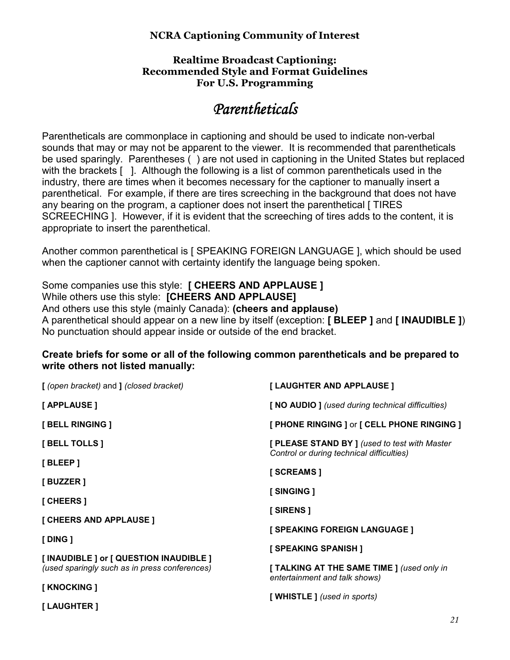#### **Realtime Broadcast Captioning: Recommended Style and Format Guidelines For U.S. Programming**

# *Parentheticals Parentheticals*

Parentheticals are commonplace in captioning and should be used to indicate non-verbal sounds that may or may not be apparent to the viewer. It is recommended that parentheticals be used sparingly. Parentheses ( ) are not used in captioning in the United States but replaced with the brackets [ ]. Although the following is a list of common parentheticals used in the industry, there are times when it becomes necessary for the captioner to manually insert a parenthetical. For example, if there are tires screeching in the background that does not have any bearing on the program, a captioner does not insert the parenthetical [ TIRES SCREECHING ]. However, if it is evident that the screeching of tires adds to the content, it is appropriate to insert the parenthetical.

Another common parenthetical is [ SPEAKING FOREIGN LANGUAGE ], which should be used when the captioner cannot with certainty identify the language being spoken.

Some companies use this style: **[ CHEERS AND APPLAUSE ]**  While others use this style: **[CHEERS AND APPLAUSE]** And others use this style (mainly Canada): **(cheers and applause)**  A parenthetical should appear on a new line by itself (exception: **[ BLEEP ]** and **[ INAUDIBLE ]**) No punctuation should appear inside or outside of the end bracket.

#### **Create briefs for some or all of the following common parentheticals and be prepared to write others not listed manually:**

| [(open bracket) and ] (closed bracket)                                                   | [LAUGHTER AND APPLAUSE]                                                                  |
|------------------------------------------------------------------------------------------|------------------------------------------------------------------------------------------|
| [ APPLAUSE ]                                                                             | [NO AUDIO] (used during technical difficulties)                                          |
| [ BELL RINGING ]                                                                         | [ PHONE RINGING ] or [ CELL PHONE RINGING ]                                              |
| [ BELL TOLLS ]                                                                           | [PLEASE STAND BY] (used to test with Master<br>Control or during technical difficulties) |
| [BLEEP]                                                                                  | [ SCREAMS ]                                                                              |
| [ BUZZER ]                                                                               | [ SINGING ]                                                                              |
| [ CHEERS ]                                                                               | [SIRENS]                                                                                 |
| [ CHEERS AND APPLAUSE ]                                                                  |                                                                                          |
| [ DING ]                                                                                 | [ SPEAKING FOREIGN LANGUAGE ]                                                            |
|                                                                                          | [ SPEAKING SPANISH ]                                                                     |
| [ INAUDIBLE ] or [ QUESTION INAUDIBLE ]<br>(used sparingly such as in press conferences) | [TALKING AT THE SAME TIME] (used only in<br>entertainment and talk shows)                |
| [ KNOCKING ]                                                                             |                                                                                          |
| [ LAUGHTER ]                                                                             | [WHISTLE ] (used in sports)                                                              |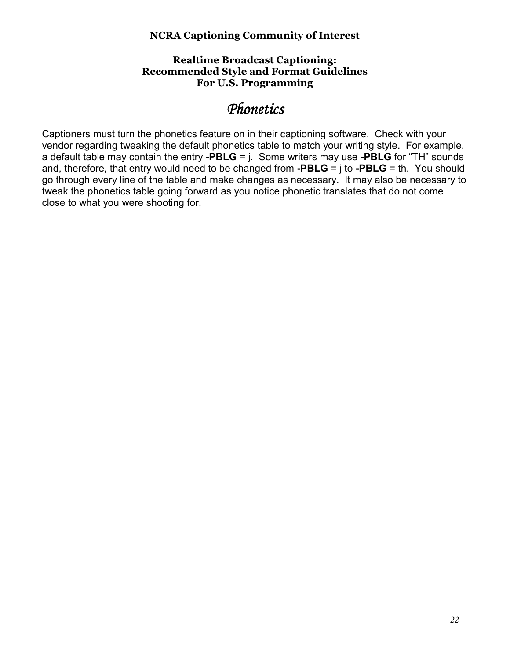#### **Realtime Broadcast Captioning: Recommended Style and Format Guidelines For U.S. Programming**

# *Phonetics Phonetics*

Captioners must turn the phonetics feature on in their captioning software. Check with your vendor regarding tweaking the default phonetics table to match your writing style. For example, a default table may contain the entry **-PBLG** = j. Some writers may use **-PBLG** for "TH" sounds and, therefore, that entry would need to be changed from **-PBLG** = j to **-PBLG** = th. You should go through every line of the table and make changes as necessary. It may also be necessary to tweak the phonetics table going forward as you notice phonetic translates that do not come close to what you were shooting for.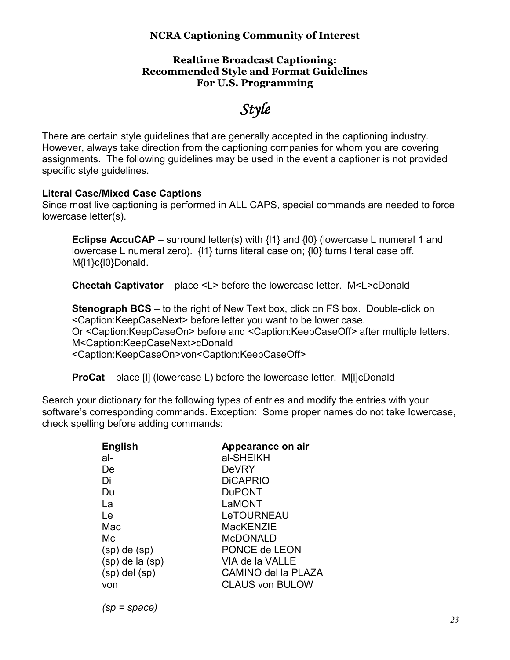#### **Realtime Broadcast Captioning: Recommended Style and Format Guidelines For U.S. Programming**

# *Style*

There are certain style guidelines that are generally accepted in the captioning industry. However, always take direction from the captioning companies for whom you are covering assignments. The following guidelines may be used in the event a captioner is not provided specific style guidelines.

#### **Literal Case/Mixed Case Captions**

Since most live captioning is performed in ALL CAPS, special commands are needed to force lowercase letter(s).

**Eclipse AccuCAP** – surround letter(s) with  $\{11\}$  and  $\{10\}$  (lowercase L numeral 1 and lowercase L numeral zero). {l1} turns literal case on; {l0} turns literal case off. M{I1}c{l0}Donald.

**Cheetah Captivator** – place <L> before the lowercase letter. M<L>cDonald

**Stenograph BCS** – to the right of New Text box, click on FS box. Double-click on <Caption:KeepCaseNext> before letter you want to be lower case. Or <Caption:KeepCaseOn> before and <Caption:KeepCaseOff> after multiple letters. M<Caption:KeepCaseNext>cDonald <Caption:KeepCaseOn>von<Caption:KeepCaseOff>

**ProCat** – place [l] (lowercase L) before the lowercase letter. M[l]cDonald

Search your dictionary for the following types of entries and modify the entries with your software's corresponding commands. Exception: Some proper names do not take lowercase, check spelling before adding commands:

| <b>English</b>      | Appearance on air      |
|---------------------|------------------------|
| al-                 | al-SHEIKH              |
| De                  | DeVRY                  |
| Di                  | <b>DICAPRIO</b>        |
| Du                  | <b>DuPONT</b>          |
| La                  | LaMONT                 |
| Le                  | LeTOURNEAU             |
| Mac                 | MacKFN7IF              |
| Mс                  | <b>MCDONALD</b>        |
| $(sp)$ de $(sp)$    | PONCE de LEON          |
| $(sp)$ de la $(sp)$ | VIA de la VALLE        |
| $(sp)$ del $(sp)$   | CAMINO del la PLAZA    |
| von                 | <b>CLAUS von BULOW</b> |
|                     |                        |

*(sp = space)*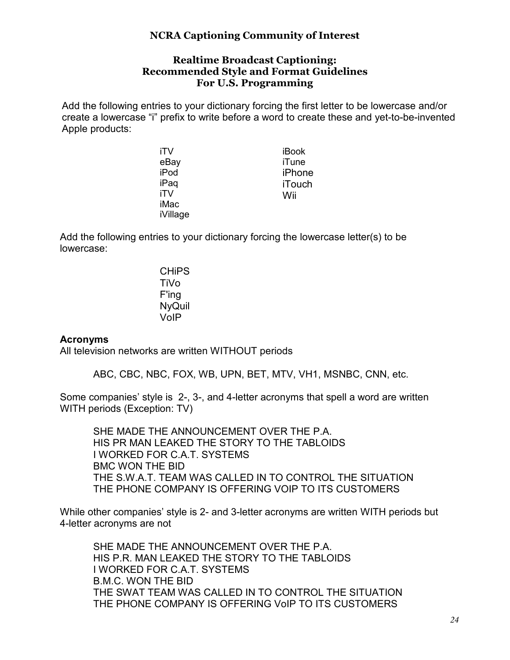#### **Realtime Broadcast Captioning: Recommended Style and Format Guidelines For U.S. Programming**

Add the following entries to your dictionary forcing the first letter to be lowercase and/or create a lowercase "i" prefix to write before a word to create these and yet-to-be-invented Apple products:

| iTV      | iBook         |
|----------|---------------|
| eBay     | iTune         |
| iPod     | iPhone        |
| iPaq     | <b>iTouch</b> |
| iTV      | Wii           |
| iMac     |               |
| iVillage |               |

Add the following entries to your dictionary forcing the lowercase letter(s) to be lowercase:

> **CHIPS** TiVo F'ing NyQuil VoIP

#### **Acronyms**

All television networks are written WITHOUT periods

ABC, CBC, NBC, FOX, WB, UPN, BET, MTV, VH1, MSNBC, CNN, etc.

Some companies' style is 2-, 3-, and 4-letter acronyms that spell a word are written WITH periods (Exception: TV)

 SHE MADE THE ANNOUNCEMENT OVER THE P.A. HIS PR MAN LEAKED THE STORY TO THE TABLOIDS I WORKED FOR C.A.T. SYSTEMS BMC WON THE BID THE S.W.A.T. TEAM WAS CALLED IN TO CONTROL THE SITUATION THE PHONE COMPANY IS OFFERING VOIP TO ITS CUSTOMERS

While other companies' style is 2- and 3-letter acronyms are written WITH periods but 4-letter acronyms are not

 SHE MADE THE ANNOUNCEMENT OVER THE P.A. HIS P.R. MAN LEAKED THE STORY TO THE TABLOIDS I WORKED FOR C.A.T. SYSTEMS B.M.C. WON THE BID THE SWAT TEAM WAS CALLED IN TO CONTROL THE SITUATION THE PHONE COMPANY IS OFFERING VoIP TO ITS CUSTOMERS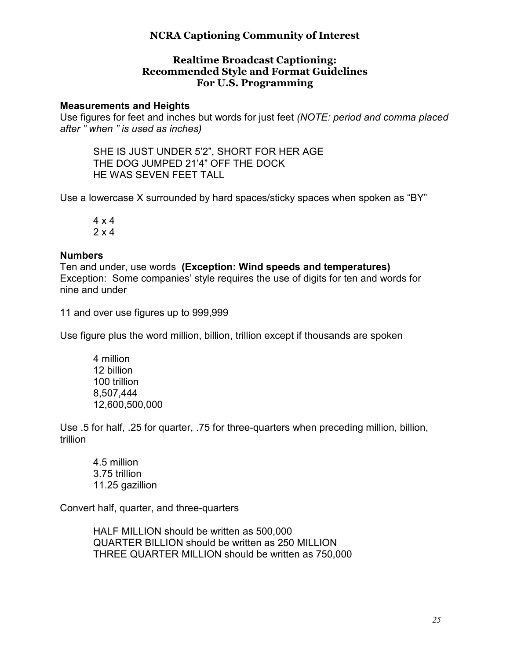#### **Realtime Broadcast Captioning: Recommended Style and Format Guidelines For U.S. Programming**

#### **Measurements and Heights**

Use figures for feet and inches but words for just feet *(NOTE: period and comma placed after " when " is used as inches)* 

 SHE IS JUST UNDER 5'2", SHORT FOR HER AGE THE DOG JUMPED 21'4" OFF THE DOCK HE WAS SEVEN FEET TALL

Use a lowercase X surrounded by hard spaces/sticky spaces when spoken as "BY"

 4 x 4 2 x 4

#### **Numbers**

Ten and under, use words **(Exception: Wind speeds and temperatures)**  Exception: Some companies' style requires the use of digits for ten and words for nine and under

11 and over use figures up to 999,999

Use figure plus the word million, billion, trillion except if thousands are spoken

 4 million 12 billion 100 trillion 8,507,444 12,600,500,000

Use .5 for half, .25 for quarter, .75 for three-quarters when preceding million, billion, trillion

 4.5 million 3.75 trillion 11.25 gazillion

Convert half, quarter, and three-quarters

 HALF MILLION should be written as 500,000 QUARTER BILLION should be written as 250 MILLION THREE QUARTER MILLION should be written as 750,000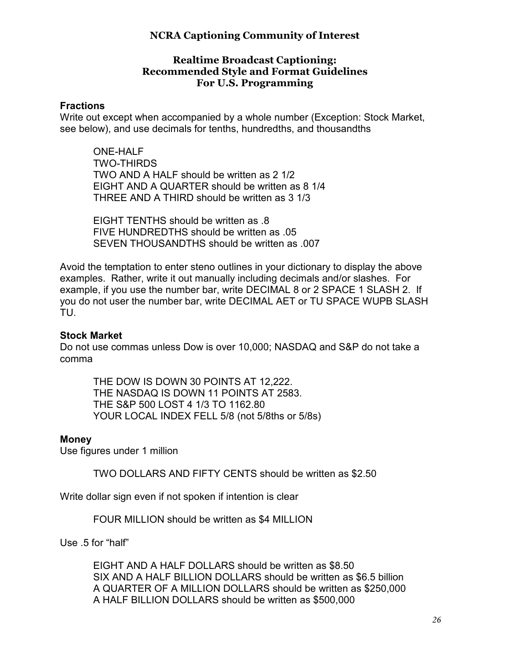#### **Realtime Broadcast Captioning: Recommended Style and Format Guidelines For U.S. Programming**

#### **Fractions**

Write out except when accompanied by a whole number (Exception: Stock Market, see below), and use decimals for tenths, hundredths, and thousandths

 ONE-HALF TWO-THIRDS TWO AND A HALF should be written as 2 1/2 EIGHT AND A QUARTER should be written as 8 1/4 THREE AND A THIRD should be written as 3 1/3

 EIGHT TENTHS should be written as .8 FIVE HUNDREDTHS should be written as .05 SEVEN THOUSANDTHS should be written as .007

Avoid the temptation to enter steno outlines in your dictionary to display the above examples. Rather, write it out manually including decimals and/or slashes. For example, if you use the number bar, write DECIMAL 8 or 2 SPACE 1 SLASH 2. If you do not user the number bar, write DECIMAL AET or TU SPACE WUPB SLASH TU.

#### **Stock Market**

Do not use commas unless Dow is over 10,000; NASDAQ and S&P do not take a comma

 THE DOW IS DOWN 30 POINTS AT 12,222. THE NASDAQ IS DOWN 11 POINTS AT 2583. THE S&P 500 LOST 4 1/3 TO 1162.80 YOUR LOCAL INDEX FELL 5/8 (not 5/8ths or 5/8s)

#### **Money**

Use figures under 1 million

TWO DOLLARS AND FIFTY CENTS should be written as \$2.50

Write dollar sign even if not spoken if intention is clear

FOUR MILLION should be written as \$4 MILLION

Use .5 for "half"

 EIGHT AND A HALF DOLLARS should be written as \$8.50 SIX AND A HALF BILLION DOLLARS should be written as \$6.5 billion A QUARTER OF A MILLION DOLLARS should be written as \$250,000 A HALF BILLION DOLLARS should be written as \$500,000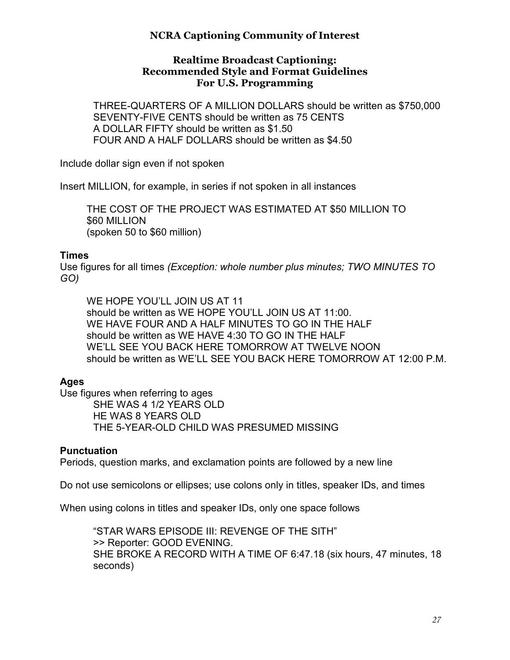#### **Realtime Broadcast Captioning: Recommended Style and Format Guidelines For U.S. Programming**

 THREE-QUARTERS OF A MILLION DOLLARS should be written as \$750,000 SEVENTY-FIVE CENTS should be written as 75 CENTS A DOLLAR FIFTY should be written as \$1.50 FOUR AND A HALF DOLLARS should be written as \$4.50

Include dollar sign even if not spoken

Insert MILLION, for example, in series if not spoken in all instances

 THE COST OF THE PROJECT WAS ESTIMATED AT \$50 MILLION TO \$60 MILLION (spoken 50 to \$60 million)

#### **Times**

Use figures for all times *(Exception: whole number plus minutes; TWO MINUTES TO GO)* 

WE HOPE YOU'LL JOIN US AT 11 should be written as WE HOPE YOU'LL JOIN US AT 11:00. WE HAVE FOUR AND A HALF MINUTES TO GO IN THE HALF should be written as WE HAVE 4:30 TO GO IN THE HALF WE'LL SEE YOU BACK HERE TOMORROW AT TWELVE NOON should be written as WE'LL SEE YOU BACK HERE TOMORROW AT 12:00 P.M.

# **Ages**

Use figures when referring to ages SHE WAS 4 1/2 YEARS OLD HE WAS 8 YEARS OLD THE 5-YEAR-OLD CHILD WAS PRESUMED MISSING

#### **Punctuation**

Periods, question marks, and exclamation points are followed by a new line

Do not use semicolons or ellipses; use colons only in titles, speaker IDs, and times

When using colons in titles and speaker IDs, only one space follows

 "STAR WARS EPISODE III: REVENGE OF THE SITH" >> Reporter: GOOD EVENING. SHE BROKE A RECORD WITH A TIME OF 6:47.18 (six hours, 47 minutes, 18 seconds)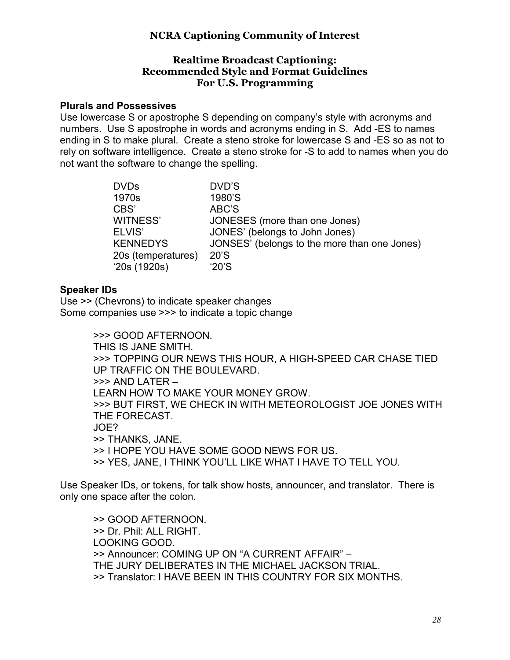#### **Realtime Broadcast Captioning: Recommended Style and Format Guidelines For U.S. Programming**

#### **Plurals and Possessives**

Use lowercase S or apostrophe S depending on company's style with acronyms and numbers. Use S apostrophe in words and acronyms ending in S. Add -ES to names ending in S to make plural. Create a steno stroke for lowercase S and -ES so as not to rely on software intelligence. Create a steno stroke for -S to add to names when you do not want the software to change the spelling.

| <b>DVDs</b>        | DVD'S                                        |
|--------------------|----------------------------------------------|
| 1970s              | 1980'S                                       |
| CBS'               | ABC'S                                        |
| WITNESS'           | JONESES (more than one Jones)                |
| ELVIS'             | JONES' (belongs to John Jones)               |
| <b>KENNEDYS</b>    | JONSES' (belongs to the more than one Jones) |
| 20s (temperatures) | 20'S                                         |
| '20s(1920s)        | '20'S                                        |

#### **Speaker IDs**

Use >> (Chevrons) to indicate speaker changes Some companies use >>> to indicate a topic change

> >>> GOOD AFTERNOON. THIS IS JANE SMITH. >>> TOPPING OUR NEWS THIS HOUR, A HIGH-SPEED CAR CHASE TIED UP TRAFFIC ON THE BOULEVARD. >>> AND LATER – LEARN HOW TO MAKE YOUR MONEY GROW. >>> BUT FIRST, WE CHECK IN WITH METEOROLOGIST JOE JONES WITH THE FORECAST. JOE? >> THANKS, JANE. >> I HOPE YOU HAVE SOME GOOD NEWS FOR US. >> YES, JANE, I THINK YOU'LL LIKE WHAT I HAVE TO TELL YOU.

Use Speaker IDs, or tokens, for talk show hosts, announcer, and translator. There is only one space after the colon.

 >> GOOD AFTERNOON. >> Dr. Phil: ALL RIGHT. LOOKING GOOD. >> Announcer: COMING UP ON "A CURRENT AFFAIR" – THE JURY DELIBERATES IN THE MICHAEL JACKSON TRIAL. >> Translator: I HAVE BEEN IN THIS COUNTRY FOR SIX MONTHS.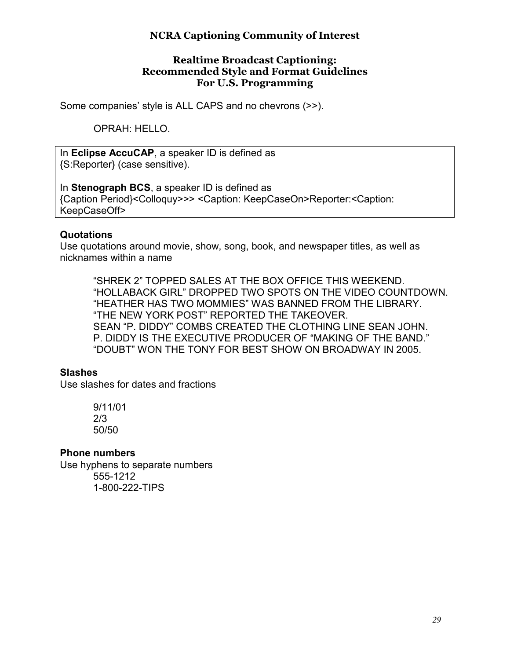#### **Realtime Broadcast Captioning: Recommended Style and Format Guidelines For U.S. Programming**

Some companies' style is ALL CAPS and no chevrons (>>).

OPRAH: HELLO.

In **Eclipse AccuCAP**, a speaker ID is defined as {S:Reporter} (case sensitive).

In **Stenograph BCS**, a speaker ID is defined as {Caption Period}<Colloquy>>> <Caption: KeepCaseOn>Reporter:<Caption: KeepCaseOff>

#### **Quotations**

Use quotations around movie, show, song, book, and newspaper titles, as well as nicknames within a name

 "SHREK 2" TOPPED SALES AT THE BOX OFFICE THIS WEEKEND. "HOLLABACK GIRL" DROPPED TWO SPOTS ON THE VIDEO COUNTDOWN. "HEATHER HAS TWO MOMMIES" WAS BANNED FROM THE LIBRARY. "THE NEW YORK POST" REPORTED THE TAKEOVER. SEAN "P. DIDDY" COMBS CREATED THE CLOTHING LINE SEAN JOHN. P. DIDDY IS THE EXECUTIVE PRODUCER OF "MAKING OF THE BAND." "DOUBT" WON THE TONY FOR BEST SHOW ON BROADWAY IN 2005.

#### **Slashes**

Use slashes for dates and fractions

 9/11/01 2/3 50/50

#### **Phone numbers**

Use hyphens to separate numbers 555-1212 1-800-222-TIPS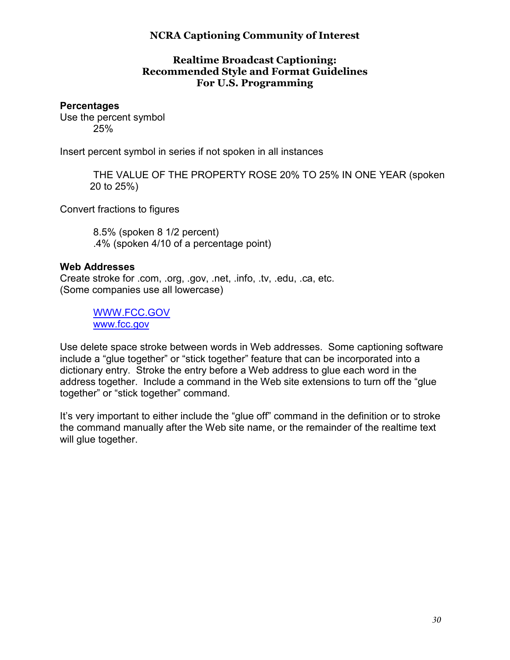#### **Realtime Broadcast Captioning: Recommended Style and Format Guidelines For U.S. Programming**

#### **Percentages**

Use the percent symbol 25%

Insert percent symbol in series if not spoken in all instances

 THE VALUE OF THE PROPERTY ROSE 20% TO 25% IN ONE YEAR (spoken 20 to 25%)

Convert fractions to figures

 8.5% (spoken 8 1/2 percent) .4% (spoken 4/10 of a percentage point)

#### **Web Addresses**

Create stroke for .com, .org, .gov, .net, .info, .tv, .edu, .ca, etc. (Some companies use all lowercase)

> WWW.FCC.GOV www.fcc.gov

Use delete space stroke between words in Web addresses. Some captioning software include a "glue together" or "stick together" feature that can be incorporated into a dictionary entry. Stroke the entry before a Web address to glue each word in the address together. Include a command in the Web site extensions to turn off the "glue together" or "stick together" command.

It's very important to either include the "glue off" command in the definition or to stroke the command manually after the Web site name, or the remainder of the realtime text will glue together.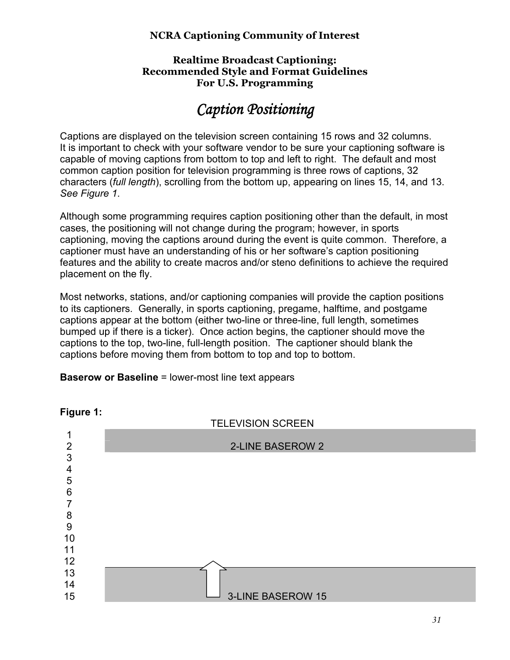#### **Realtime Broadcast Captioning: Recommended Style and Format Guidelines For U.S. Programming**

# *Caption Positioning Caption*

Captions are displayed on the television screen containing 15 rows and 32 columns. It is important to check with your software vendor to be sure your captioning software is capable of moving captions from bottom to top and left to right. The default and most common caption position for television programming is three rows of captions, 32 characters (*full length*), scrolling from the bottom up, appearing on lines 15, 14, and 13. *See Figure 1*.

Although some programming requires caption positioning other than the default, in most cases, the positioning will not change during the program; however, in sports captioning, moving the captions around during the event is quite common. Therefore, a captioner must have an understanding of his or her software's caption positioning features and the ability to create macros and/or steno definitions to achieve the required placement on the fly.

Most networks, stations, and/or captioning companies will provide the caption positions to its captioners. Generally, in sports captioning, pregame, halftime, and postgame captions appear at the bottom (either two-line or three-line, full length, sometimes bumped up if there is a ticker). Once action begins, the captioner should move the captions to the top, two-line, full-length position. The captioner should blank the captions before moving them from bottom to top and top to bottom.

#### **Baserow or Baseline** = lower-most line text appears



#### **Figure 1:**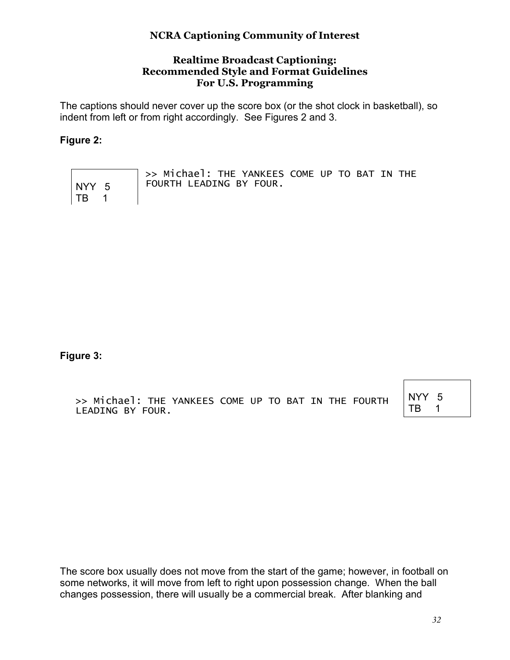#### **Realtime Broadcast Captioning: Recommended Style and Format Guidelines For U.S. Programming**

The captions should never cover up the score box (or the shot clock in basketball), so indent from left or from right accordingly. See Figures 2 and 3.

#### **Figure 2:**

|              | >> Michael: THE YANKEES COME UP TO BAT IN THE |
|--------------|-----------------------------------------------|
| $NY \ 5$     | FOURTH LEADING BY FOUR.                       |
| $\vert$ TB 1 |                                               |

**Figure 3:** 

>> Michael: THE YANKEES COME UP TO BAT IN THE FOURTH LEADING BY FOUR.

NYY 5 TB 1

The score box usually does not move from the start of the game; however, in football on some networks, it will move from left to right upon possession change. When the ball changes possession, there will usually be a commercial break. After blanking and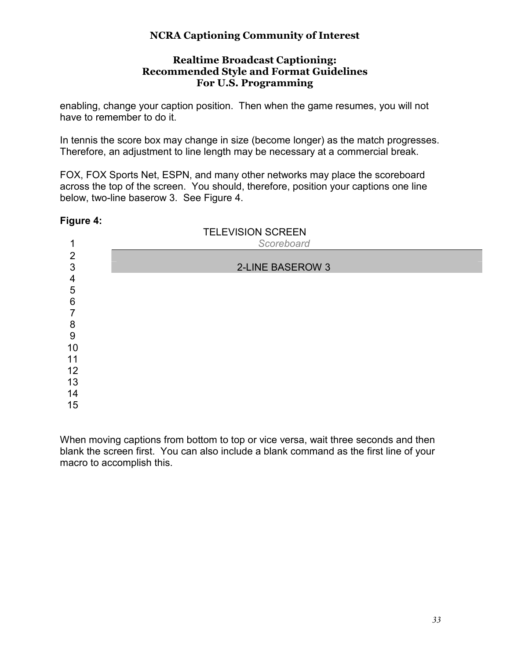#### **Realtime Broadcast Captioning: Recommended Style and Format Guidelines For U.S. Programming**

enabling, change your caption position. Then when the game resumes, you will not have to remember to do it.

In tennis the score box may change in size (become longer) as the match progresses. Therefore, an adjustment to line length may be necessary at a commercial break.

FOX, FOX Sports Net, ESPN, and many other networks may place the scoreboard across the top of the screen. You should, therefore, position your captions one line below, two-line baserow 3. See Figure 4.

#### **Figure 4:**

| $\mathbf{1}$                           | <b>TELEVISION SCREEN</b><br>Scoreboard |
|----------------------------------------|----------------------------------------|
| $\overline{2}$<br>3                    | 2-LINE BASEROW 3                       |
| $\overline{4}$<br>5<br>$6\phantom{1}6$ |                                        |
| $\overline{7}$<br>8                    |                                        |
| 9<br>10                                |                                        |
| 11<br>12                               |                                        |
| 13<br>14                               |                                        |
| 15                                     |                                        |

When moving captions from bottom to top or vice versa, wait three seconds and then blank the screen first. You can also include a blank command as the first line of your macro to accomplish this.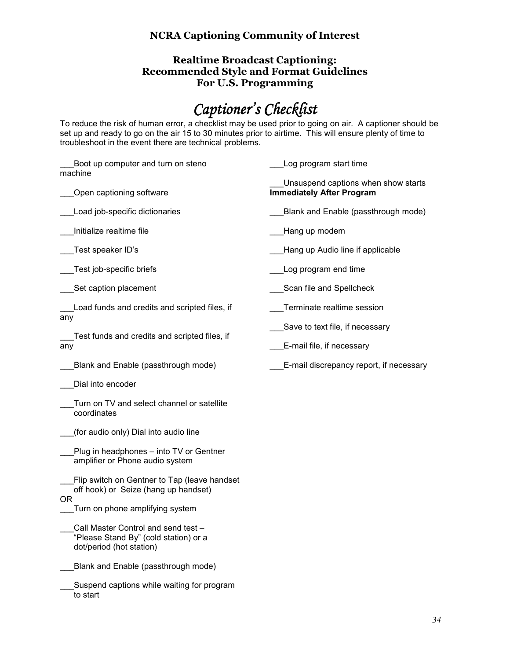#### **Realtime Broadcast Captioning: Recommended Style and Format Guidelines For U.S. Programming**

# *Captioner's Checklist*

To reduce the risk of human error, a checklist may be used prior to going on air. A captioner should be set up and ready to go on the air 15 to 30 minutes prior to airtime. This will ensure plenty of time to troubleshoot in the event there are technical problems.

| Boot up computer and turn on steno<br>machine                                                            | Log program start time                                                  |
|----------------------------------------------------------------------------------------------------------|-------------------------------------------------------------------------|
| Open captioning software                                                                                 | Unsuspend captions when show starts<br><b>Immediately After Program</b> |
| Load job-specific dictionaries                                                                           | Blank and Enable (passthrough mode)                                     |
| Initialize realtime file                                                                                 | Hang up modem                                                           |
| Test speaker ID's                                                                                        | Hang up Audio line if applicable                                        |
| Test job-specific briefs                                                                                 | Log program end time                                                    |
| Set caption placement                                                                                    | Scan file and Spellcheck                                                |
| Load funds and credits and scripted files, if                                                            | Terminate realtime session                                              |
| any                                                                                                      | Save to text file, if necessary                                         |
| Test funds and credits and scripted files, if<br>any                                                     | E-mail file, if necessary                                               |
| Blank and Enable (passthrough mode)                                                                      | E-mail discrepancy report, if necessary                                 |
| Dial into encoder                                                                                        |                                                                         |
| Turn on TV and select channel or satellite<br>coordinates                                                |                                                                         |
| (for audio only) Dial into audio line                                                                    |                                                                         |
| Plug in headphones - into TV or Gentner<br>amplifier or Phone audio system                               |                                                                         |
| Flip switch on Gentner to Tap (leave handset<br>off hook) or Seize (hang up handset)                     |                                                                         |
| OR.<br>Turn on phone amplifying system                                                                   |                                                                         |
| Call Master Control and send test -<br>"Please Stand By" (cold station) or a<br>dot/period (hot station) |                                                                         |
| Blank and Enable (passthrough mode)                                                                      |                                                                         |
| Suspend captions while waiting for program                                                               |                                                                         |

to start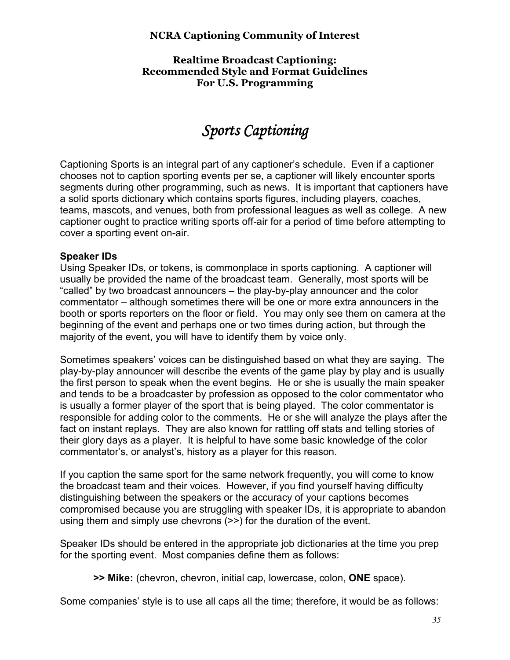**Realtime Broadcast Captioning: Recommended Style and Format Guidelines For U.S. Programming** 

# *Sports Captioning Sports Captioning*

Captioning Sports is an integral part of any captioner's schedule. Even if a captioner chooses not to caption sporting events per se, a captioner will likely encounter sports segments during other programming, such as news. It is important that captioners have a solid sports dictionary which contains sports figures, including players, coaches, teams, mascots, and venues, both from professional leagues as well as college. A new captioner ought to practice writing sports off-air for a period of time before attempting to cover a sporting event on-air.

#### **Speaker IDs**

Using Speaker IDs, or tokens, is commonplace in sports captioning. A captioner will usually be provided the name of the broadcast team. Generally, most sports will be "called" by two broadcast announcers – the play-by-play announcer and the color commentator – although sometimes there will be one or more extra announcers in the booth or sports reporters on the floor or field. You may only see them on camera at the beginning of the event and perhaps one or two times during action, but through the majority of the event, you will have to identify them by voice only.

Sometimes speakers' voices can be distinguished based on what they are saying. The play-by-play announcer will describe the events of the game play by play and is usually the first person to speak when the event begins. He or she is usually the main speaker and tends to be a broadcaster by profession as opposed to the color commentator who is usually a former player of the sport that is being played. The color commentator is responsible for adding color to the comments. He or she will analyze the plays after the fact on instant replays. They are also known for rattling off stats and telling stories of their glory days as a player. It is helpful to have some basic knowledge of the color commentator's, or analyst's, history as a player for this reason.

If you caption the same sport for the same network frequently, you will come to know the broadcast team and their voices. However, if you find yourself having difficulty distinguishing between the speakers or the accuracy of your captions becomes compromised because you are struggling with speaker IDs, it is appropriate to abandon using them and simply use chevrons (>>) for the duration of the event.

Speaker IDs should be entered in the appropriate job dictionaries at the time you prep for the sporting event. Most companies define them as follows:

**>> Mike:** (chevron, chevron, initial cap, lowercase, colon, **ONE** space).

Some companies' style is to use all caps all the time; therefore, it would be as follows: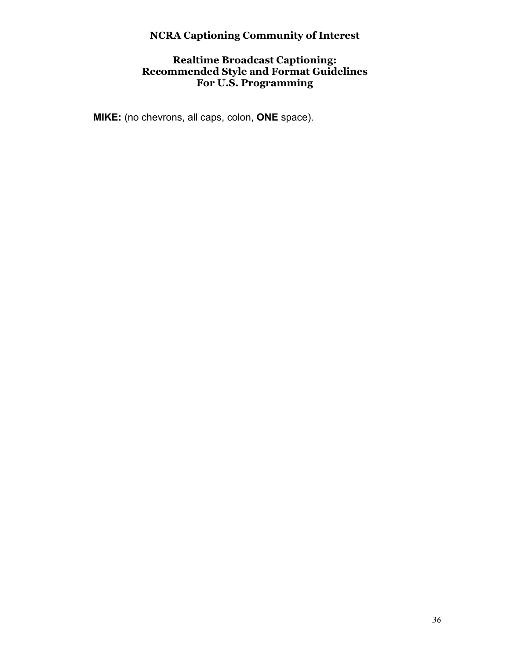#### **Realtime Broadcast Captioning: Recommended Style and Format Guidelines For U.S. Programming**

 **MIKE:** (no chevrons, all caps, colon, **ONE** space).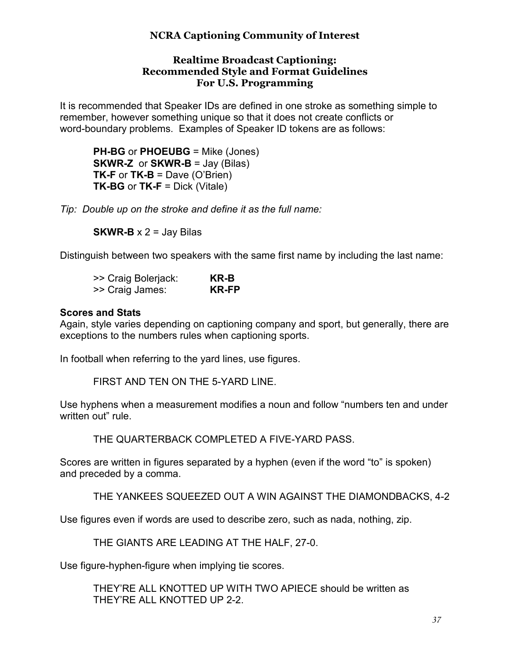#### **Realtime Broadcast Captioning: Recommended Style and Format Guidelines For U.S. Programming**

It is recommended that Speaker IDs are defined in one stroke as something simple to remember, however something unique so that it does not create conflicts or word-boundary problems. Examples of Speaker ID tokens are as follows:

**PH-BG** or **PHOEUBG** = Mike (Jones) **SKWR-Z** or **SKWR-B** = Jay (Bilas) **TK-F** or **TK-B** = Dave (O'Brien) **TK-BG** or **TK-F** = Dick (Vitale)

*Tip: Double up on the stroke and define it as the full name:* 

**SKWR-B**  $\times$  2 = Jay Bilas

Distinguish between two speakers with the same first name by including the last name:

| >> Craig Bolerjack: | KR-B  |
|---------------------|-------|
| >> Craig James:     | KR-FP |

#### **Scores and Stats**

Again, style varies depending on captioning company and sport, but generally, there are exceptions to the numbers rules when captioning sports.

In football when referring to the yard lines, use figures.

FIRST AND TEN ON THE 5-YARD LINE.

Use hyphens when a measurement modifies a noun and follow "numbers ten and under written out" rule

THE QUARTERBACK COMPLETED A FIVE-YARD PASS.

Scores are written in figures separated by a hyphen (even if the word "to" is spoken) and preceded by a comma.

THE YANKEES SQUEEZED OUT A WIN AGAINST THE DIAMONDBACKS, 4-2

Use figures even if words are used to describe zero, such as nada, nothing, zip.

THE GIANTS ARE LEADING AT THE HALF, 27-0.

Use figure-hyphen-figure when implying tie scores.

THEY'RE ALL KNOTTED UP WITH TWO APIECE should be written as THEY'RE ALL KNOTTED UP 2-2.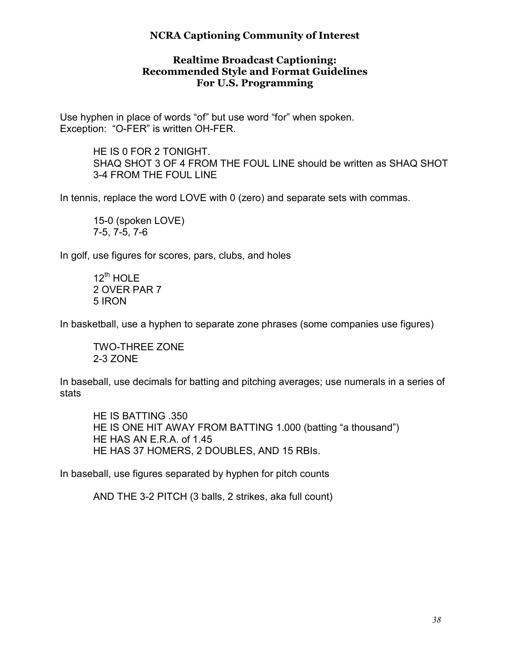#### **Realtime Broadcast Captioning: Recommended Style and Format Guidelines For U.S. Programming**

Use hyphen in place of words "of" but use word "for" when spoken. Exception: "O-FER" is written OH-FER.

> HE IS 0 FOR 2 TONIGHT. SHAQ SHOT 3 OF 4 FROM THE FOUL LINE should be written as SHAQ SHOT 3-4 FROM THE FOUL LINE

In tennis, replace the word LOVE with 0 (zero) and separate sets with commas.

 15-0 (spoken LOVE) 7-5, 7-5, 7-6

In golf, use figures for scores, pars, clubs, and holes

 $12^{\text{th}}$  HOLE 2 OVER PAR 7 5 IRON

In basketball, use a hyphen to separate zone phrases (some companies use figures)

 TWO-THREE ZONE 2-3 ZONE

In baseball, use decimals for batting and pitching averages; use numerals in a series of stats

HE IS BATTING .350 HE IS ONE HIT AWAY FROM BATTING 1.000 (batting "a thousand") HE HAS AN E.R.A. of 1.45 HE HAS 37 HOMERS, 2 DOUBLES, AND 15 RBIs.

In baseball, use figures separated by hyphen for pitch counts

AND THE 3-2 PITCH (3 balls, 2 strikes, aka full count)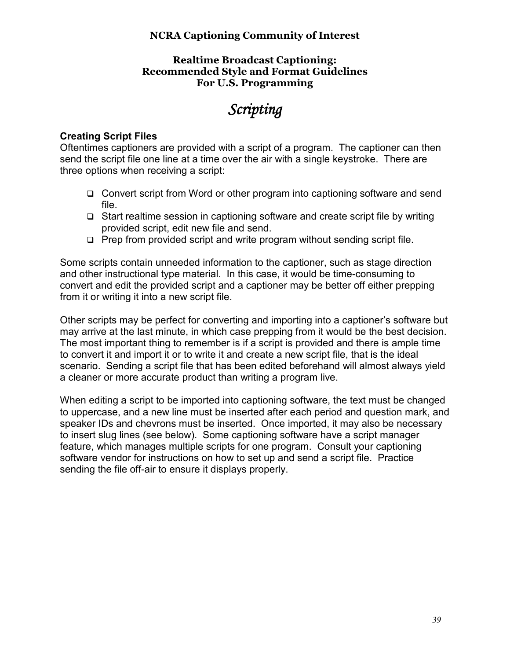#### **Realtime Broadcast Captioning: Recommended Style and Format Guidelines For U.S. Programming**

# *Scripting Scripting*

#### **Creating Script Files**

Oftentimes captioners are provided with a script of a program. The captioner can then send the script file one line at a time over the air with a single keystroke. There are three options when receiving a script:

- □ Convert script from Word or other program into captioning software and send file.
- $\Box$  Start realtime session in captioning software and create script file by writing provided script, edit new file and send.
- $\Box$  Prep from provided script and write program without sending script file.

Some scripts contain unneeded information to the captioner, such as stage direction and other instructional type material. In this case, it would be time-consuming to convert and edit the provided script and a captioner may be better off either prepping from it or writing it into a new script file.

Other scripts may be perfect for converting and importing into a captioner's software but may arrive at the last minute, in which case prepping from it would be the best decision. The most important thing to remember is if a script is provided and there is ample time to convert it and import it or to write it and create a new script file, that is the ideal scenario. Sending a script file that has been edited beforehand will almost always yield a cleaner or more accurate product than writing a program live.

When editing a script to be imported into captioning software, the text must be changed to uppercase, and a new line must be inserted after each period and question mark, and speaker IDs and chevrons must be inserted. Once imported, it may also be necessary to insert slug lines (see below). Some captioning software have a script manager feature, which manages multiple scripts for one program. Consult your captioning software vendor for instructions on how to set up and send a script file. Practice sending the file off-air to ensure it displays properly.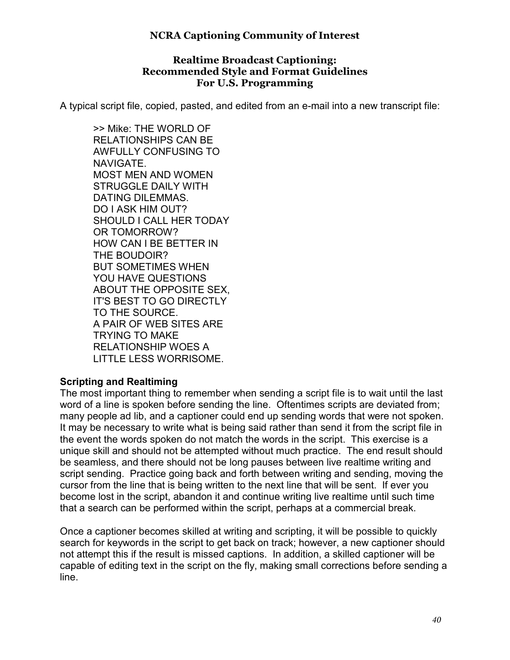#### **Realtime Broadcast Captioning: Recommended Style and Format Guidelines For U.S. Programming**

A typical script file, copied, pasted, and edited from an e-mail into a new transcript file:

>> Mike: THE WORLD OF RELATIONSHIPS CAN BE AWFULLY CONFUSING TO NAVIGATE. MOST MEN AND WOMEN STRUGGLE DAILY WITH DATING DILEMMAS. DO I ASK HIM OUT? SHOULD I CALL HER TODAY OR TOMORROW? HOW CAN I BE BETTER IN THE BOUDOIR? BUT SOMETIMES WHEN YOU HAVE QUESTIONS ABOUT THE OPPOSITE SEX, IT'S BEST TO GO DIRECTLY TO THE SOURCE. A PAIR OF WEB SITES ARE TRYING TO MAKE RELATIONSHIP WOES A LITTLE LESS WORRISOME.

#### **Scripting and Realtiming**

The most important thing to remember when sending a script file is to wait until the last word of a line is spoken before sending the line. Oftentimes scripts are deviated from; many people ad lib, and a captioner could end up sending words that were not spoken. It may be necessary to write what is being said rather than send it from the script file in the event the words spoken do not match the words in the script. This exercise is a unique skill and should not be attempted without much practice. The end result should be seamless, and there should not be long pauses between live realtime writing and script sending. Practice going back and forth between writing and sending, moving the cursor from the line that is being written to the next line that will be sent. If ever you become lost in the script, abandon it and continue writing live realtime until such time that a search can be performed within the script, perhaps at a commercial break.

Once a captioner becomes skilled at writing and scripting, it will be possible to quickly search for keywords in the script to get back on track; however, a new captioner should not attempt this if the result is missed captions. In addition, a skilled captioner will be capable of editing text in the script on the fly, making small corrections before sending a line.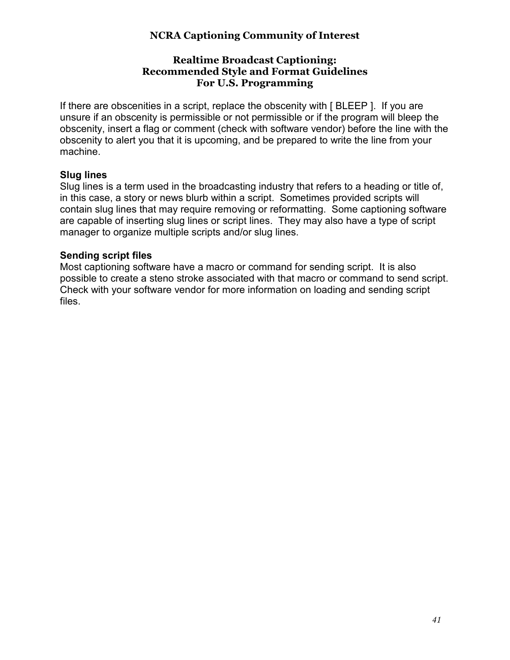#### **Realtime Broadcast Captioning: Recommended Style and Format Guidelines For U.S. Programming**

If there are obscenities in a script, replace the obscenity with [ BLEEP ]. If you are unsure if an obscenity is permissible or not permissible or if the program will bleep the obscenity, insert a flag or comment (check with software vendor) before the line with the obscenity to alert you that it is upcoming, and be prepared to write the line from your machine.

#### **Slug lines**

Slug lines is a term used in the broadcasting industry that refers to a heading or title of, in this case, a story or news blurb within a script. Sometimes provided scripts will contain slug lines that may require removing or reformatting. Some captioning software are capable of inserting slug lines or script lines. They may also have a type of script manager to organize multiple scripts and/or slug lines.

#### **Sending script files**

Most captioning software have a macro or command for sending script. It is also possible to create a steno stroke associated with that macro or command to send script. Check with your software vendor for more information on loading and sending script files.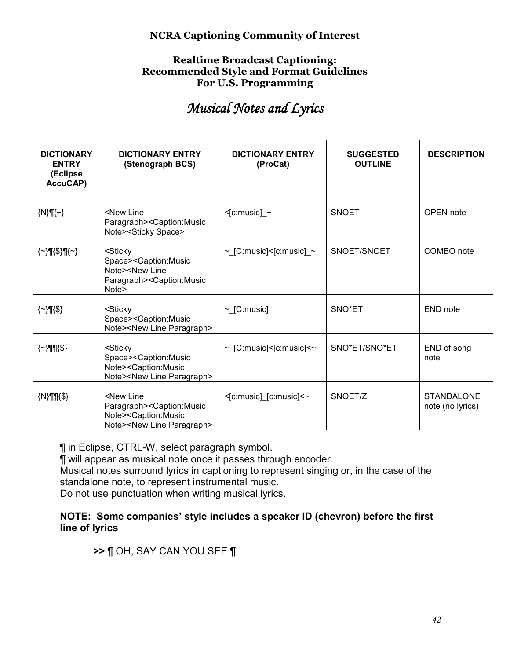#### **Realtime Broadcast Captioning: Recommended Style and Format Guidelines For U.S. Programming**

# *Musical Notes and Lyrics Musical Lyrics*

| <b>DICTIONARY</b><br><b>ENTRY</b><br>(Eclipse<br>AccuCAP) | <b>DICTIONARY ENTRY</b><br>(Stenograph BCS)                                                                                                                   | <b>DICTIONARY ENTRY</b><br>(ProCat) | <b>SUGGESTED</b><br><b>OUTLINE</b> | <b>DESCRIPTION</b>                    |
|-----------------------------------------------------------|---------------------------------------------------------------------------------------------------------------------------------------------------------------|-------------------------------------|------------------------------------|---------------------------------------|
| $\{N\}\mathcal{M}\left\{\sim\right\}$                     | <new line<br="">Paragraph&gt;<caption:music<br>Note&gt;<sticky space=""></sticky></caption:music<br></new>                                                    | $\le$ [c:music] $\sim$              | <b>SNOET</b>                       | <b>OPEN</b> note                      |
| $\{\sim\}$ ¶{\$}¶{~}                                      | <sticky<br>Space&gt;<caption:music<br>Note&gt;<new line<br="">Paragraph&gt;<caption:music<br>Note&gt;</caption:music<br></new></caption:music<br></sticky<br> | $\sim$ [C:music]<[c:music] $\sim$   | SNOET/SNOET                        | COMBO note                            |
| $\{\sim\}$ ¶{\$}                                          | <sticky<br>Space&gt;<caption:music<br>Note&gt;<new line="" paragraph=""></new></caption:music<br></sticky<br>                                                 | $\sim$ [C:music]                    | SNO*ET                             | END note                              |
| $\{\sim\}$ ¶¶ $\{\$$ }                                    | <sticky<br>Space&gt;<caption:music<br>Note&gt;<caption:music<br>Note&gt;<new line="" paragraph=""></new></caption:music<br></caption:music<br></sticky<br>    | $\sim$ [C:music]<[c:music]< $\sim$  | SNO*ET/SNO*ET                      | END of song<br>note                   |
| $\{N\}$ ¶¶ $\$                                            | <new line<br="">Paragraph&gt;<caption:music<br>Note&gt;<caption:music<br>Note&gt;<new line="" paragraph=""></new></caption:music<br></caption:music<br></new> | <[c:music]_[c:music]<~              | SNOET/Z                            | <b>STANDALONE</b><br>note (no lyrics) |

¶ in Eclipse, CTRL-W, select paragraph symbol.

¶ will appear as musical note once it passes through encoder.

Musical notes surround lyrics in captioning to represent singing or, in the case of the standalone note, to represent instrumental music.

Do not use punctuation when writing musical lyrics.

#### **NOTE: Some companies' style includes a speaker ID (chevron) before the first line of lyrics**

# **>>** ¶ OH, SAY CAN YOU SEE ¶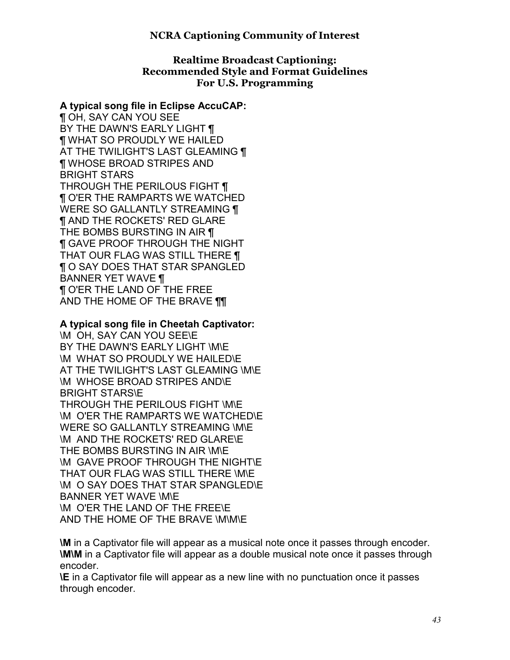#### **Realtime Broadcast Captioning: Recommended Style and Format Guidelines For U.S. Programming**

#### **A typical song file in Eclipse AccuCAP:**

¶ OH, SAY CAN YOU SEE BY THE DAWN'S EARLY LIGHT ¶ ¶ WHAT SO PROUDLY WE HAILED AT THE TWILIGHT'S LAST GLEAMING ¶ ¶ WHOSE BROAD STRIPES AND BRIGHT STARS THROUGH THE PERILOUS FIGHT ¶ ¶ O'ER THE RAMPARTS WE WATCHED WERE SO GALLANTLY STREAMING **[1]** ¶ AND THE ROCKETS' RED GLARE THE BOMBS BURSTING IN AIR ¶ ¶ GAVE PROOF THROUGH THE NIGHT THAT OUR FLAG WAS STILL THERE ¶ ¶ O SAY DOES THAT STAR SPANGLED BANNER YET WAVE ¶ ¶ O'ER THE LAND OF THE FREE AND THE HOME OF THE BRAVE ¶¶

#### **A typical song file in Cheetah Captivator:**

\M OH, SAY CAN YOU SEE\E BY THE DAWN'S EARLY LIGHT \M\E \M WHAT SO PROUDLY WE HAILED\E AT THE TWILIGHT'S LAST GLEAMING \M\E \M WHOSE BROAD STRIPES AND\E BRIGHT STARS\E THROUGH THE PERILOUS FIGHT \M\E \M O'ER THE RAMPARTS WE WATCHED\E WERE SO GALLANTLY STREAMING \M\E \M AND THE ROCKETS' RED GLARE\E THE BOMBS BURSTING IN AIR \M\E \M GAVE PROOF THROUGH THE NIGHT\E THAT OUR FLAG WAS STILL THERE \M\E \M O SAY DOES THAT STAR SPANGLED\E BANNER YET WAVE \M\E \M O'ER THE LAND OF THE FREE\E AND THE HOME OF THE BRAVE \M\M\E

**\M** in a Captivator file will appear as a musical note once it passes through encoder. **\M\M** in a Captivator file will appear as a double musical note once it passes through encoder.

**\E** in a Captivator file will appear as a new line with no punctuation once it passes through encoder.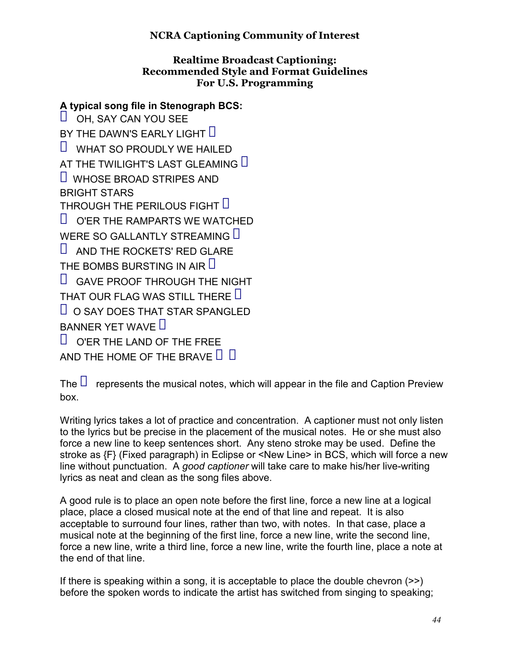#### **Realtime Broadcast Captioning: Recommended Style and Format Guidelines For U.S. Programming**

# **A typical song file in Stenograph BCS:**

 $\Box$  OH, SAY CAN YOU SEE BY THE DAWN'S EARLY LIGHT  $\Box$  $\Box$  WHAT SO PROUDLY WE HAILED AT THE TWILIGHT'S LAST GLEAMING  $\Box$  $\Box$  WHOSE BROAD STRIPES AND BRIGHT STARS THROUGH THE PERILOUS FIGHT  $\Box$  $\Box$  O'ER THE RAMPARTS WE WATCHED WERE SO GALLANTLY STREAMING  $\Box$  $\Box$  AND THE ROCKETS' RED GLARE THE BOMBS BURSTING IN AIR  $\Box$  $\Box$  GAVE PROOF THROUGH THE NIGHT THAT OUR FLAG WAS STILL THERE **D**  $\Box$  O SAY DOES THAT STAR SPANGLED BANNER YET WAVE  $\Box$  $\Box$  O'ER THE LAND OF THE FREE AND THE HOME OF THE BRAVE  $\Box$   $\Box$ 

The  $\Box$  represents the musical notes, which will appear in the file and Caption Preview box.

Writing lyrics takes a lot of practice and concentration. A captioner must not only listen to the lyrics but be precise in the placement of the musical notes. He or she must also force a new line to keep sentences short. Any steno stroke may be used. Define the stroke as {F} (Fixed paragraph) in Eclipse or <New Line> in BCS, which will force a new line without punctuation. A *good captioner* will take care to make his/her live-writing lyrics as neat and clean as the song files above.

A good rule is to place an open note before the first line, force a new line at a logical place, place a closed musical note at the end of that line and repeat. It is also acceptable to surround four lines, rather than two, with notes. In that case, place a musical note at the beginning of the first line, force a new line, write the second line, force a new line, write a third line, force a new line, write the fourth line, place a note at the end of that line.

If there is speaking within a song, it is acceptable to place the double chevron  $(\ge)$ before the spoken words to indicate the artist has switched from singing to speaking;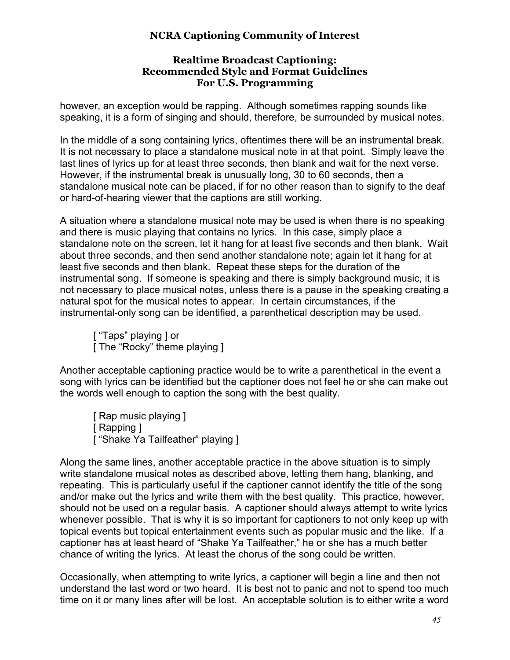#### **Realtime Broadcast Captioning: Recommended Style and Format Guidelines For U.S. Programming**

however, an exception would be rapping. Although sometimes rapping sounds like speaking, it is a form of singing and should, therefore, be surrounded by musical notes.

In the middle of a song containing lyrics, oftentimes there will be an instrumental break. It is not necessary to place a standalone musical note in at that point. Simply leave the last lines of lyrics up for at least three seconds, then blank and wait for the next verse. However, if the instrumental break is unusually long, 30 to 60 seconds, then a standalone musical note can be placed, if for no other reason than to signify to the deaf or hard-of-hearing viewer that the captions are still working.

A situation where a standalone musical note may be used is when there is no speaking and there is music playing that contains no lyrics. In this case, simply place a standalone note on the screen, let it hang for at least five seconds and then blank. Wait about three seconds, and then send another standalone note; again let it hang for at least five seconds and then blank. Repeat these steps for the duration of the instrumental song. If someone is speaking and there is simply background music, it is not necessary to place musical notes, unless there is a pause in the speaking creating a natural spot for the musical notes to appear. In certain circumstances, if the instrumental-only song can be identified, a parenthetical description may be used.

["Taps" playing ] or [ The "Rocky" theme playing ]

Another acceptable captioning practice would be to write a parenthetical in the event a song with lyrics can be identified but the captioner does not feel he or she can make out the words well enough to caption the song with the best quality.

[ Rap music playing ] [ Rapping ] ["Shake Ya Tailfeather" playing ]

Along the same lines, another acceptable practice in the above situation is to simply write standalone musical notes as described above, letting them hang, blanking, and repeating. This is particularly useful if the captioner cannot identify the title of the song and/or make out the lyrics and write them with the best quality. This practice, however, should not be used on a regular basis. A captioner should always attempt to write lyrics whenever possible. That is why it is so important for captioners to not only keep up with topical events but topical entertainment events such as popular music and the like. If a captioner has at least heard of "Shake Ya Tailfeather," he or she has a much better chance of writing the lyrics. At least the chorus of the song could be written.

Occasionally, when attempting to write lyrics, a captioner will begin a line and then not understand the last word or two heard. It is best not to panic and not to spend too much time on it or many lines after will be lost. An acceptable solution is to either write a word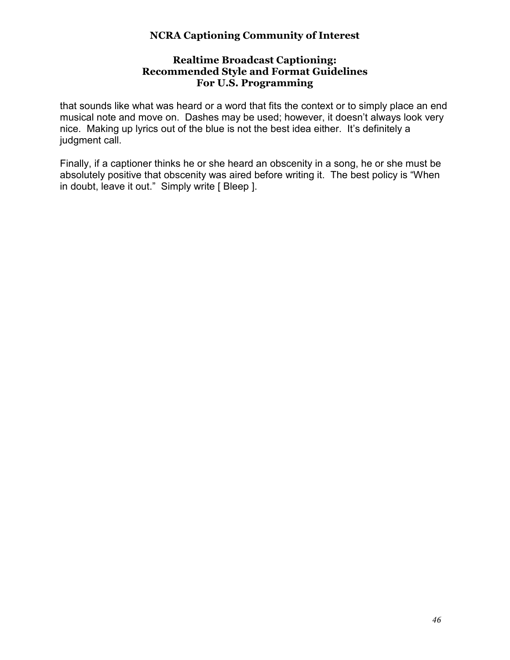#### **Realtime Broadcast Captioning: Recommended Style and Format Guidelines For U.S. Programming**

that sounds like what was heard or a word that fits the context or to simply place an end musical note and move on. Dashes may be used; however, it doesn't always look very nice. Making up lyrics out of the blue is not the best idea either. It's definitely a judgment call.

Finally, if a captioner thinks he or she heard an obscenity in a song, he or she must be absolutely positive that obscenity was aired before writing it. The best policy is "When in doubt, leave it out." Simply write [ Bleep ].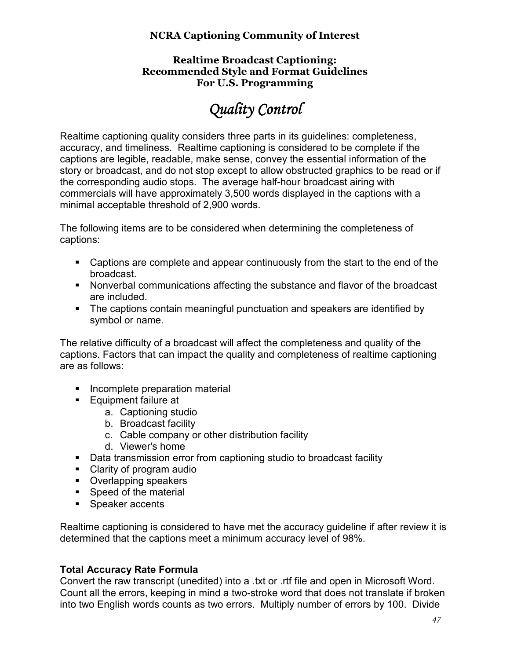#### **Realtime Broadcast Captioning: Recommended Style and Format Guidelines For U.S. Programming**

# *Quality Control Quality*

Realtime captioning quality considers three parts in its guidelines: completeness, accuracy, and timeliness. Realtime captioning is considered to be complete if the captions are legible, readable, make sense, convey the essential information of the story or broadcast, and do not stop except to allow obstructed graphics to be read or if the corresponding audio stops. The average half-hour broadcast airing with commercials will have approximately 3,500 words displayed in the captions with a minimal acceptable threshold of 2,900 words.

The following items are to be considered when determining the completeness of captions:

- Captions are complete and appear continuously from the start to the end of the broadcast.
- Nonverbal communications affecting the substance and flavor of the broadcast are included.
- The captions contain meaningful punctuation and speakers are identified by symbol or name.

The relative difficulty of a broadcast will affect the completeness and quality of the captions. Factors that can impact the quality and completeness of realtime captioning are as follows:

- **Incomplete preparation material**
- **Equipment failure at** 
	- a. Captioning studio
	- b. Broadcast facility
	- c. Cable company or other distribution facility
	- d. Viewer's home
- Data transmission error from captioning studio to broadcast facility
- Clarity of program audio
- **•** Overlapping speakers
- **Speed of the material**
- **Speaker accents**

Realtime captioning is considered to have met the accuracy guideline if after review it is determined that the captions meet a minimum accuracy level of 98%.

# **Total Accuracy Rate Formula**

Convert the raw transcript (unedited) into a .txt or .rtf file and open in Microsoft Word. Count all the errors, keeping in mind a two-stroke word that does not translate if broken into two English words counts as two errors. Multiply number of errors by 100. Divide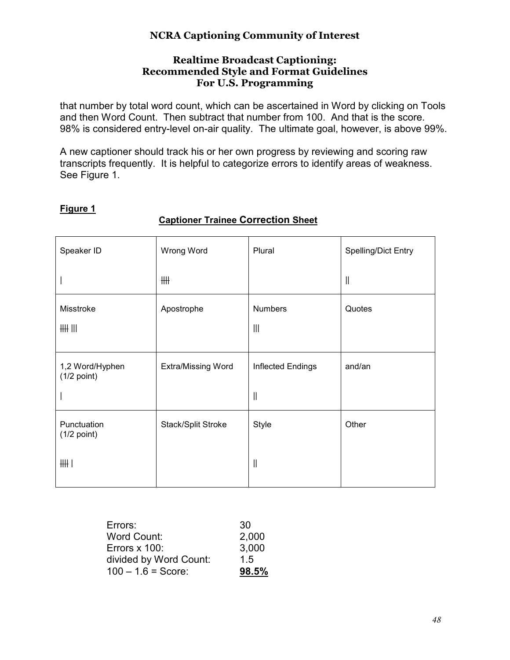#### **Realtime Broadcast Captioning: Recommended Style and Format Guidelines For U.S. Programming**

that number by total word count, which can be ascertained in Word by clicking on Tools and then Word Count. Then subtract that number from 100. And that is the score. 98% is considered entry-level on-air quality. The ultimate goal, however, is above 99%.

A new captioner should track his or her own progress by reviewing and scoring raw transcripts frequently. It is helpful to categorize errors to identify areas of weakness. See Figure 1.

# **Figure 1**

#### **Captioner Trainee Correction Sheet**

| Speaker ID                       | Wrong Word         | Plural                        | <b>Spelling/Dict Entry</b>              |
|----------------------------------|--------------------|-------------------------------|-----------------------------------------|
|                                  | ₩                  |                               | $\mathcal{L}^{\text{max}}_{\text{max}}$ |
| Misstroke<br>$HH$ $III$          | Apostrophe         | <b>Numbers</b><br>$\parallel$ | Quotes                                  |
| 1,2 Word/Hyphen<br>$(1/2$ point) | Extra/Missing Word | Inflected Endings<br>$\ $     | and/an                                  |
| Punctuation<br>$(1/2$ point)     | Stack/Split Stroke | Style                         | Other                                   |
| HH                               |                    | $\ $                          |                                         |

| Errors:                | 30    |
|------------------------|-------|
| Word Count:            | 2,000 |
| Errors x 100:          | 3,000 |
| divided by Word Count: | 15    |
| $100 - 1.6 = Score$ :  | 98.5% |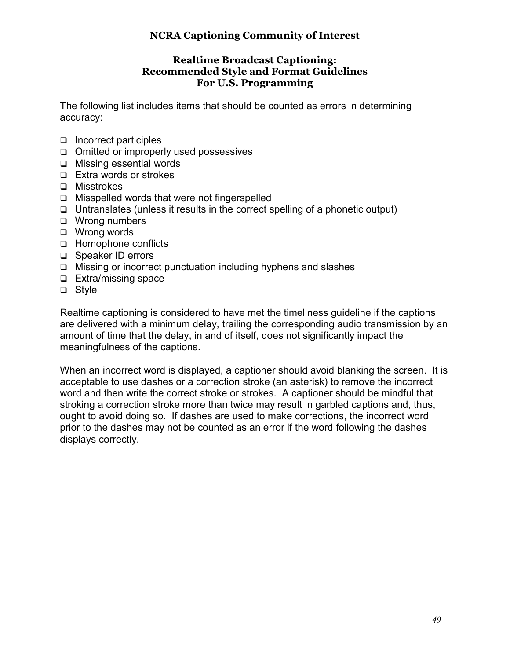#### **Realtime Broadcast Captioning: Recommended Style and Format Guidelines For U.S. Programming**

The following list includes items that should be counted as errors in determining accuracy:

- $\Box$  Incorrect participles
- $\Box$  Omitted or improperly used possessives
- □ Missing essential words
- □ Extra words or strokes
- □ Misstrokes
- $\Box$  Misspelled words that were not fingerspelled
- $\Box$  Untranslates (unless it results in the correct spelling of a phonetic output)
- □ Wrong numbers
- □ Wrong words
- □ Homophone conflicts
- □ Speaker ID errors
- $\Box$  Missing or incorrect punctuation including hyphens and slashes
- $\Box$  Extra/missing space
- □ Style

Realtime captioning is considered to have met the timeliness guideline if the captions are delivered with a minimum delay, trailing the corresponding audio transmission by an amount of time that the delay, in and of itself, does not significantly impact the meaningfulness of the captions.

When an incorrect word is displayed, a captioner should avoid blanking the screen. It is acceptable to use dashes or a correction stroke (an asterisk) to remove the incorrect word and then write the correct stroke or strokes. A captioner should be mindful that stroking a correction stroke more than twice may result in garbled captions and, thus, ought to avoid doing so. If dashes are used to make corrections, the incorrect word prior to the dashes may not be counted as an error if the word following the dashes displays correctly.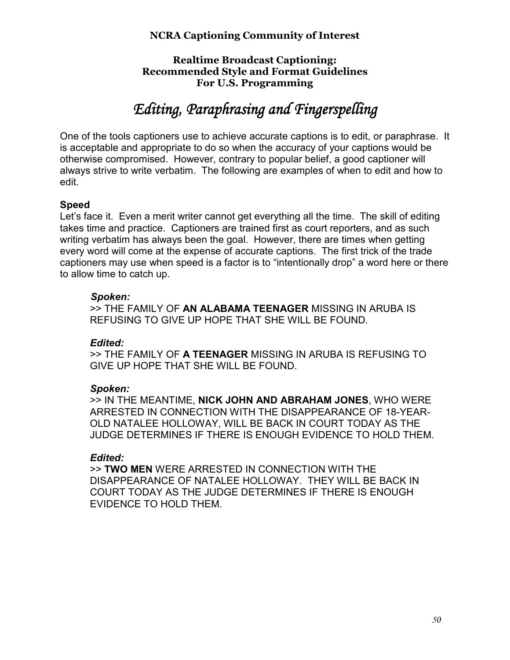#### **Realtime Broadcast Captioning: Recommended Style and Format Guidelines For U.S. Programming**

# *Editing, Paraphrasing and Fingerspelling Paraphrasing and Fingerspelling*

One of the tools captioners use to achieve accurate captions is to edit, or paraphrase. It is acceptable and appropriate to do so when the accuracy of your captions would be otherwise compromised. However, contrary to popular belief, a good captioner will always strive to write verbatim. The following are examples of when to edit and how to edit.

#### **Speed**

Let's face it. Even a merit writer cannot get everything all the time. The skill of editing takes time and practice. Captioners are trained first as court reporters, and as such writing verbatim has always been the goal. However, there are times when getting every word will come at the expense of accurate captions. The first trick of the trade captioners may use when speed is a factor is to "intentionally drop" a word here or there to allow time to catch up.

#### *Spoken:*

>> THE FAMILY OF **AN ALABAMA TEENAGER** MISSING IN ARUBA IS REFUSING TO GIVE UP HOPE THAT SHE WILL BE FOUND.

#### *Edited:*

>> THE FAMILY OF **A TEENAGER** MISSING IN ARUBA IS REFUSING TO GIVE UP HOPE THAT SHE WILL BE FOUND.

#### *Spoken:*

>> IN THE MEANTIME, **NICK JOHN AND ABRAHAM JONES**, WHO WERE ARRESTED IN CONNECTION WITH THE DISAPPEARANCE OF 18-YEAR-OLD NATALEE HOLLOWAY, WILL BE BACK IN COURT TODAY AS THE JUDGE DETERMINES IF THERE IS ENOUGH EVIDENCE TO HOLD THEM.

# *Edited:*

>> **TWO MEN** WERE ARRESTED IN CONNECTION WITH THE DISAPPEARANCE OF NATALEE HOLLOWAY. THEY WILL BE BACK IN COURT TODAY AS THE JUDGE DETERMINES IF THERE IS ENOUGH EVIDENCE TO HOLD THEM.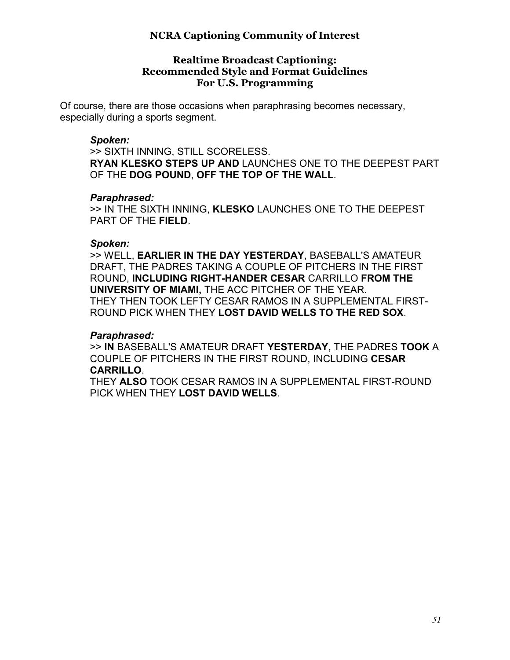#### **Realtime Broadcast Captioning: Recommended Style and Format Guidelines For U.S. Programming**

Of course, there are those occasions when paraphrasing becomes necessary, especially during a sports segment.

#### *Spoken:*

>> SIXTH INNING, STILL SCORELESS. **RYAN KLESKO STEPS UP AND** LAUNCHES ONE TO THE DEEPEST PART OF THE **DOG POUND**, **OFF THE TOP OF THE WALL**.

#### *Paraphrased:*

>> IN THE SIXTH INNING, **KLESKO** LAUNCHES ONE TO THE DEEPEST PART OF THE **FIELD**.

#### *Spoken:*

>> WELL, **EARLIER IN THE DAY YESTERDAY**, BASEBALL'S AMATEUR DRAFT, THE PADRES TAKING A COUPLE OF PITCHERS IN THE FIRST ROUND, **INCLUDING RIGHT-HANDER CESAR** CARRILLO **FROM THE UNIVERSITY OF MIAMI,** THE ACC PITCHER OF THE YEAR. THEY THEN TOOK LEFTY CESAR RAMOS IN A SUPPLEMENTAL FIRST-ROUND PICK WHEN THEY **LOST DAVID WELLS TO THE RED SOX**.

#### *Paraphrased:*

>> **IN** BASEBALL'S AMATEUR DRAFT **YESTERDAY,** THE PADRES **TOOK** A COUPLE OF PITCHERS IN THE FIRST ROUND, INCLUDING **CESAR CARRILLO**.

THEY **ALSO** TOOK CESAR RAMOS IN A SUPPLEMENTAL FIRST-ROUND PICK WHEN THEY **LOST DAVID WELLS**.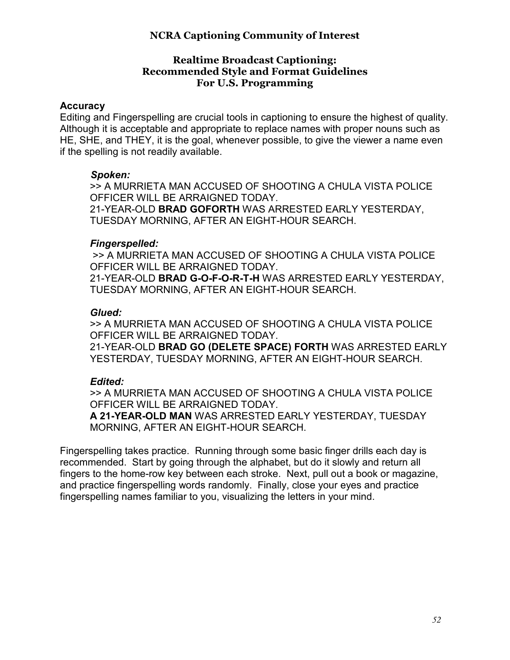#### **Realtime Broadcast Captioning: Recommended Style and Format Guidelines For U.S. Programming**

#### **Accuracy**

Editing and Fingerspelling are crucial tools in captioning to ensure the highest of quality. Although it is acceptable and appropriate to replace names with proper nouns such as HE, SHE, and THEY, it is the goal, whenever possible, to give the viewer a name even if the spelling is not readily available.

#### *Spoken:*

>> A MURRIETA MAN ACCUSED OF SHOOTING A CHULA VISTA POLICE OFFICER WILL BE ARRAIGNED TODAY. 21-YEAR-OLD **BRAD GOFORTH** WAS ARRESTED EARLY YESTERDAY, TUESDAY MORNING, AFTER AN EIGHT-HOUR SEARCH.

#### *Fingerspelled:*

>> A MURRIETA MAN ACCUSED OF SHOOTING A CHULA VISTA POLICE OFFICER WILL BE ARRAIGNED TODAY.

21-YEAR-OLD **BRAD G-O-F-O-R-T-H** WAS ARRESTED EARLY YESTERDAY, TUESDAY MORNING, AFTER AN EIGHT-HOUR SEARCH.

#### *Glued:*

>> A MURRIETA MAN ACCUSED OF SHOOTING A CHULA VISTA POLICE OFFICER WILL BE ARRAIGNED TODAY.

21-YEAR-OLD **BRAD GO (DELETE SPACE) FORTH** WAS ARRESTED EARLY YESTERDAY, TUESDAY MORNING, AFTER AN EIGHT-HOUR SEARCH.

# *Edited:*

>> A MURRIETA MAN ACCUSED OF SHOOTING A CHULA VISTA POLICE OFFICER WILL BE ARRAIGNED TODAY.

**A 21-YEAR-OLD MAN** WAS ARRESTED EARLY YESTERDAY, TUESDAY MORNING, AFTER AN EIGHT-HOUR SEARCH.

Fingerspelling takes practice. Running through some basic finger drills each day is recommended. Start by going through the alphabet, but do it slowly and return all fingers to the home-row key between each stroke. Next, pull out a book or magazine, and practice fingerspelling words randomly. Finally, close your eyes and practice fingerspelling names familiar to you, visualizing the letters in your mind.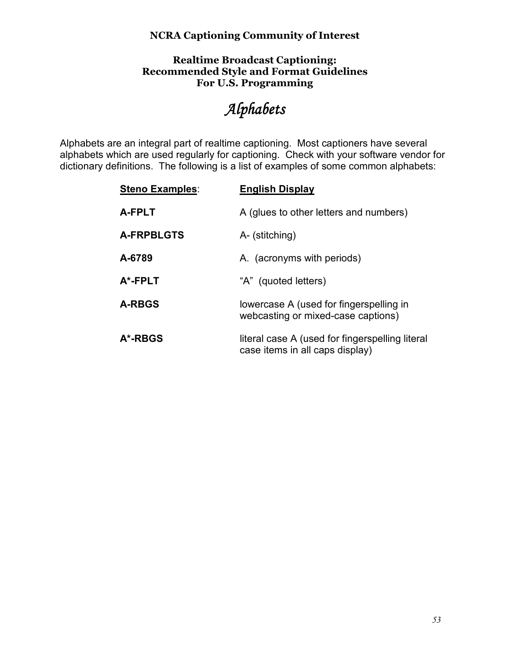#### **Realtime Broadcast Captioning: Recommended Style and Format Guidelines For U.S. Programming**

# *Alphabets*

Alphabets are an integral part of realtime captioning. Most captioners have several alphabets which are used regularly for captioning. Check with your software vendor for dictionary definitions. The following is a list of examples of some common alphabets:

| <b>Steno Examples:</b> | <b>English Display</b>                                                             |
|------------------------|------------------------------------------------------------------------------------|
| <b>A-FPLT</b>          | A (glues to other letters and numbers)                                             |
| <b>A-FRPBLGTS</b>      | A- (stitching)                                                                     |
| A-6789                 | A. (acronyms with periods)                                                         |
| A*-FPLT                | "A" (quoted letters)                                                               |
| <b>A-RBGS</b>          | lowercase A (used for fingerspelling in<br>webcasting or mixed-case captions)      |
| A*-RBGS                | literal case A (used for fingerspelling literal<br>case items in all caps display) |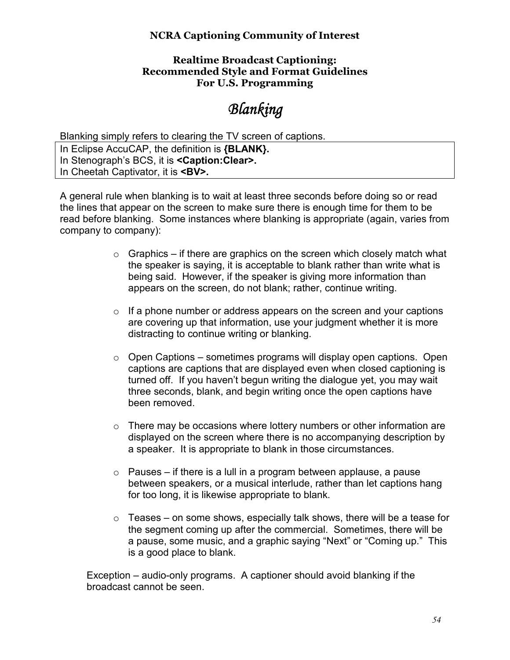#### **Realtime Broadcast Captioning: Recommended Style and Format Guidelines For U.S. Programming**

# *Blanking*

Blanking simply refers to clearing the TV screen of captions.

In Eclipse AccuCAP, the definition is **{BLANK}.** In Stenograph's BCS, it is **<Caption:Clear>.** In Cheetah Captivator, it is **<BV>.**

A general rule when blanking is to wait at least three seconds before doing so or read the lines that appear on the screen to make sure there is enough time for them to be read before blanking. Some instances where blanking is appropriate (again, varies from company to company):

- $\circ$  Graphics if there are graphics on the screen which closely match what the speaker is saying, it is acceptable to blank rather than write what is being said. However, if the speaker is giving more information than appears on the screen, do not blank; rather, continue writing.
- $\circ$  If a phone number or address appears on the screen and your captions are covering up that information, use your judgment whether it is more distracting to continue writing or blanking.
- $\circ$  Open Captions sometimes programs will display open captions. Open captions are captions that are displayed even when closed captioning is turned off. If you haven't begun writing the dialogue yet, you may wait three seconds, blank, and begin writing once the open captions have been removed.
- $\circ$  There may be occasions where lottery numbers or other information are displayed on the screen where there is no accompanying description by a speaker. It is appropriate to blank in those circumstances.
- $\circ$  Pauses if there is a lull in a program between applause, a pause between speakers, or a musical interlude, rather than let captions hang for too long, it is likewise appropriate to blank.
- $\circ$  Teases on some shows, especially talk shows, there will be a tease for the segment coming up after the commercial. Sometimes, there will be a pause, some music, and a graphic saying "Next" or "Coming up." This is a good place to blank.

Exception – audio-only programs. A captioner should avoid blanking if the broadcast cannot be seen.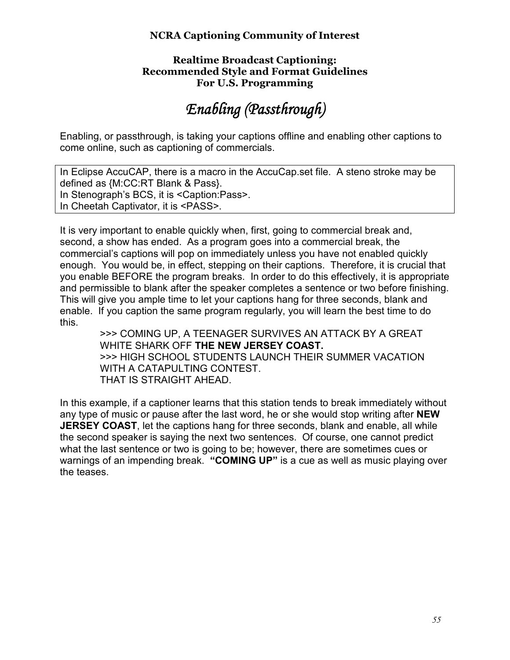#### **Realtime Broadcast Captioning: Recommended Style and Format Guidelines For U.S. Programming**

# *Enabling (Passthrough) Enabling (Passthrough)*

Enabling, or passthrough, is taking your captions offline and enabling other captions to come online, such as captioning of commercials.

In Eclipse AccuCAP, there is a macro in the AccuCap.set file. A steno stroke may be defined as {M:CC:RT Blank & Pass}. In Stenograph's BCS, it is <Caption:Pass>. In Cheetah Captivator, it is <PASS>.

It is very important to enable quickly when, first, going to commercial break and, second, a show has ended. As a program goes into a commercial break, the commercial's captions will pop on immediately unless you have not enabled quickly enough. You would be, in effect, stepping on their captions. Therefore, it is crucial that you enable BEFORE the program breaks. In order to do this effectively, it is appropriate and permissible to blank after the speaker completes a sentence or two before finishing. This will give you ample time to let your captions hang for three seconds, blank and enable. If you caption the same program regularly, you will learn the best time to do this.

>>> COMING UP, A TEENAGER SURVIVES AN ATTACK BY A GREAT WHITE SHARK OFF **THE NEW JERSEY COAST.** >>> HIGH SCHOOL STUDENTS LAUNCH THEIR SUMMER VACATION WITH A CATAPULTING CONTEST. THAT IS STRAIGHT AHEAD.

In this example, if a captioner learns that this station tends to break immediately without any type of music or pause after the last word, he or she would stop writing after **NEW JERSEY COAST**, let the captions hang for three seconds, blank and enable, all while the second speaker is saying the next two sentences. Of course, one cannot predict what the last sentence or two is going to be; however, there are sometimes cues or warnings of an impending break. **"COMING UP"** is a cue as well as music playing over the teases.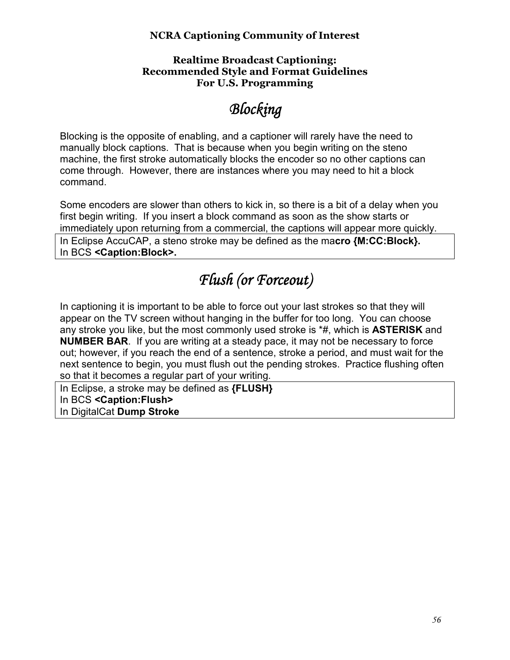#### **Realtime Broadcast Captioning: Recommended Style and Format Guidelines For U.S. Programming**

# *Blocking locking*

Blocking is the opposite of enabling, and a captioner will rarely have the need to manually block captions. That is because when you begin writing on the steno machine, the first stroke automatically blocks the encoder so no other captions can come through. However, there are instances where you may need to hit a block command.

Some encoders are slower than others to kick in, so there is a bit of a delay when you first begin writing. If you insert a block command as soon as the show starts or immediately upon returning from a commercial, the captions will appear more quickly.

In Eclipse AccuCAP, a steno stroke may be defined as the ma**cro {M:CC:Block}.**  In BCS **<Caption:Block>.** 

# *Flush (or Forceout)*

In captioning it is important to be able to force out your last strokes so that they will appear on the TV screen without hanging in the buffer for too long. You can choose any stroke you like, but the most commonly used stroke is \*#, which is **ASTERISK** and **NUMBER BAR**. If you are writing at a steady pace, it may not be necessary to force out; however, if you reach the end of a sentence, stroke a period, and must wait for the next sentence to begin, you must flush out the pending strokes. Practice flushing often so that it becomes a regular part of your writing.

In Eclipse, a stroke may be defined as **{FLUSH}**  In BCS **<Caption:Flush>**  In DigitalCat **Dump Stroke**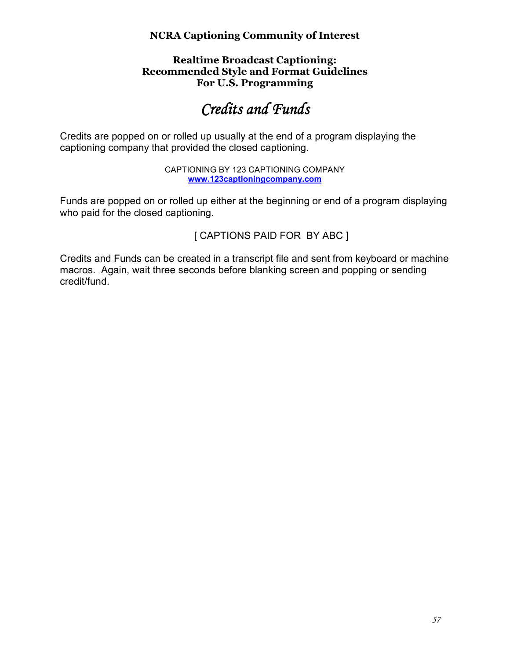#### **Realtime Broadcast Captioning: Recommended Style and Format Guidelines For U.S. Programming**

# *Credits and Funds*

Credits are popped on or rolled up usually at the end of a program displaying the captioning company that provided the closed captioning.

> CAPTIONING BY 123 CAPTIONING COMPANY **www.123captioningcompany.com**

Funds are popped on or rolled up either at the beginning or end of a program displaying who paid for the closed captioning.

[ CAPTIONS PAID FOR BY ABC ]

Credits and Funds can be created in a transcript file and sent from keyboard or machine macros. Again, wait three seconds before blanking screen and popping or sending credit/fund.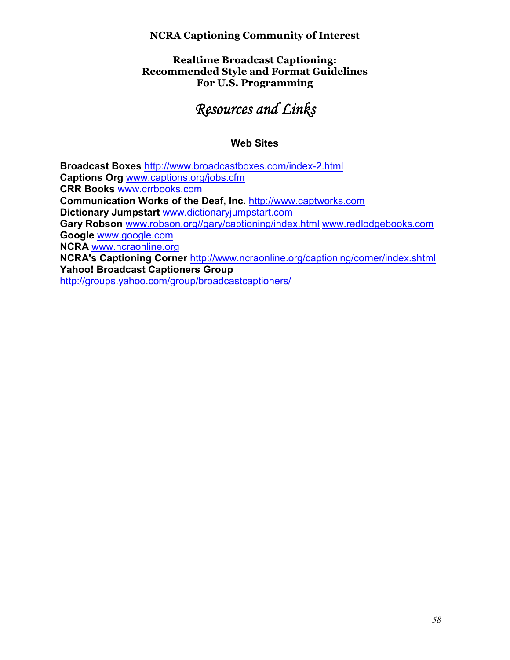#### **Realtime Broadcast Captioning: Recommended Style and Format Guidelines For U.S. Programming**

# **Resources and Links**

## **Web Sites**

**Broadcast Boxes** http://www.broadcastboxes.com/index-2.html **Captions Org** www.captions.org/jobs.cfm **CRR Books** www.crrbooks.com **Communication Works of the Deaf, Inc.** http://www.captworks.com **Dictionary Jumpstart** www.dictionaryjumpstart.com **Gary Robson** www.robson.org//gary/captioning/index.html www.redlodgebooks.com **Google** www.google.com **NCRA** www.ncraonline.org **NCRA's Captioning Corner** http://www.ncraonline.org/captioning/corner/index.shtml **Yahoo! Broadcast Captioners Group**  http://groups.yahoo.com/group/broadcastcaptioners/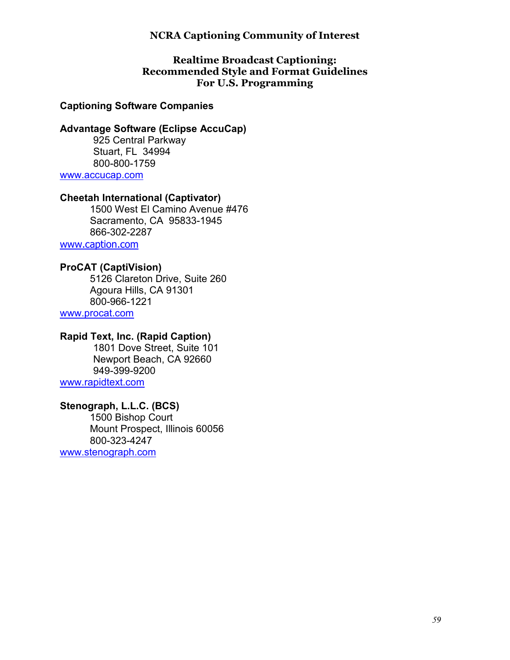#### **Realtime Broadcast Captioning: Recommended Style and Format Guidelines For U.S. Programming**

#### **Captioning Software Companies**

#### **Advantage Software (Eclipse AccuCap)**

 925 Central Parkway Stuart, FL 34994 800-800-1759

www.accucap.com

#### **Cheetah International (Captivator)**

1500 West El Camino Avenue #476 Sacramento, CA 95833-1945 866-302-2287

www.caption.com

#### **ProCAT (CaptiVision)**

5126 Clareton Drive, Suite 260 Agoura Hills, CA 91301 800-966-1221

www.procat.com

### **Rapid Text, Inc. (Rapid Caption)**

 1801 Dove Street, Suite 101 Newport Beach, CA 92660 949-399-9200 www.rapidtext.com

#### **Stenograph, L.L.C. (BCS)**

1500 Bishop Court Mount Prospect, Illinois 60056 800-323-4247

www.stenograph.com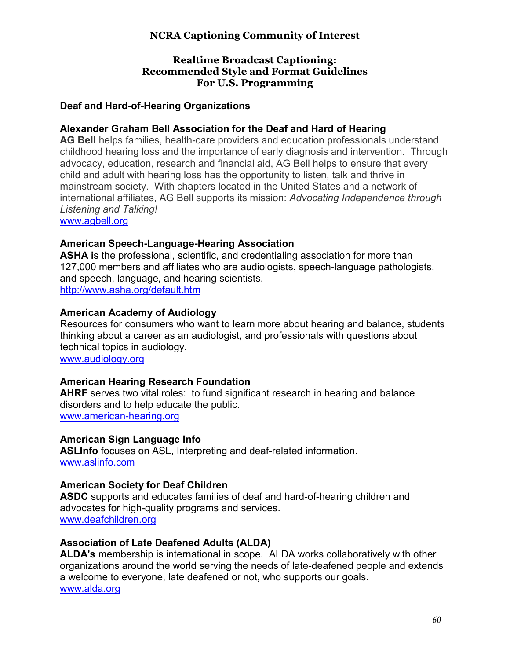#### **Realtime Broadcast Captioning: Recommended Style and Format Guidelines For U.S. Programming**

#### **Deaf and Hard-of-Hearing Organizations**

#### **Alexander Graham Bell Association for the Deaf and Hard of Hearing**

**AG Bell** helps families, health-care providers and education professionals understand childhood hearing loss and the importance of early diagnosis and intervention. Through advocacy, education, research and financial aid, AG Bell helps to ensure that every child and adult with hearing loss has the opportunity to listen, talk and thrive in mainstream society. With chapters located in the United States and a network of international affiliates, AG Bell supports its mission: *Advocating Independence through Listening and Talking!*

www.agbell.org

#### **American Speech-Language-Hearing Association**

**ASHA i**s the professional, scientific, and credentialing association for more than 127,000 members and affiliates who are audiologists, speech-language pathologists, and speech, language, and hearing scientists. http://www.asha.org/default.htm

#### **American Academy of Audiology**

Resources for consumers who want to learn more about hearing and balance, students thinking about a career as an audiologist, and professionals with questions about technical topics in audiology. www.audiology.org

#### **American Hearing Research Foundation**

**AHRF** serves two vital roles: to fund significant research in hearing and balance disorders and to help educate the public. www.american-hearing.org

#### **American Sign Language Info**

**ASLInfo** focuses on ASL, Interpreting and deaf-related information. www.aslinfo.com

#### **American Society for Deaf Children**

**ASDC** supports and educates families of deaf and hard-of-hearing children and advocates for high-quality programs and services. www.deafchildren.org

#### **Association of Late Deafened Adults (ALDA)**

**ALDA's** membership is international in scope. ALDA works collaboratively with other organizations around the world serving the needs of late-deafened people and extends a welcome to everyone, late deafened or not, who supports our goals. www.alda.org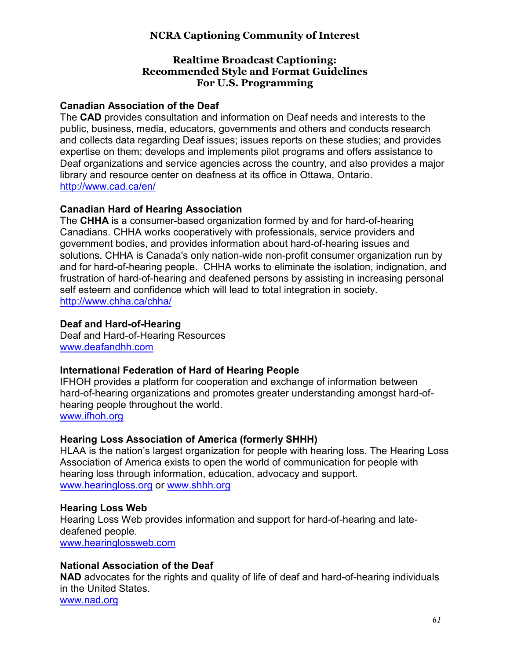#### **Realtime Broadcast Captioning: Recommended Style and Format Guidelines For U.S. Programming**

#### **Canadian Association of the Deaf**

The **CAD** provides consultation and information on Deaf needs and interests to the public, business, media, educators, governments and others and conducts research and collects data regarding Deaf issues; issues reports on these studies; and provides expertise on them; develops and implements pilot programs and offers assistance to Deaf organizations and service agencies across the country, and also provides a major library and resource center on deafness at its office in Ottawa, Ontario. http://www.cad.ca/en/

#### **Canadian Hard of Hearing Association**

The **CHHA** is a consumer-based organization formed by and for hard-of-hearing Canadians. CHHA works cooperatively with professionals, service providers and government bodies, and provides information about hard-of-hearing issues and solutions. CHHA is Canada's only nation-wide non-profit consumer organization run by and for hard-of-hearing people. CHHA works to eliminate the isolation, indignation, and frustration of hard-of-hearing and deafened persons by assisting in increasing personal self esteem and confidence which will lead to total integration in society. http://www.chha.ca/chha/

#### **Deaf and Hard-of-Hearing**

Deaf and Hard-of-Hearing Resources www.deafandhh.com

#### **International Federation of Hard of Hearing People**

IFHOH provides a platform for cooperation and exchange of information between hard-of-hearing organizations and promotes greater understanding amongst hard-ofhearing people throughout the world. www.ifhoh.org

#### **Hearing Loss Association of America (formerly SHHH)**

HLAA is the nation's largest organization for people with hearing loss. The Hearing Loss Association of America exists to open the world of communication for people with hearing loss through information, education, advocacy and support. www.hearingloss.org or www.shhh.org

# **Hearing Loss Web**

Hearing Loss Web provides information and support for hard-of-hearing and latedeafened people. www.hearinglossweb.com

#### **National Association of the Deaf**

**NAD** advocates for the rights and quality of life of deaf and hard-of-hearing individuals in the United States. www.nad.org